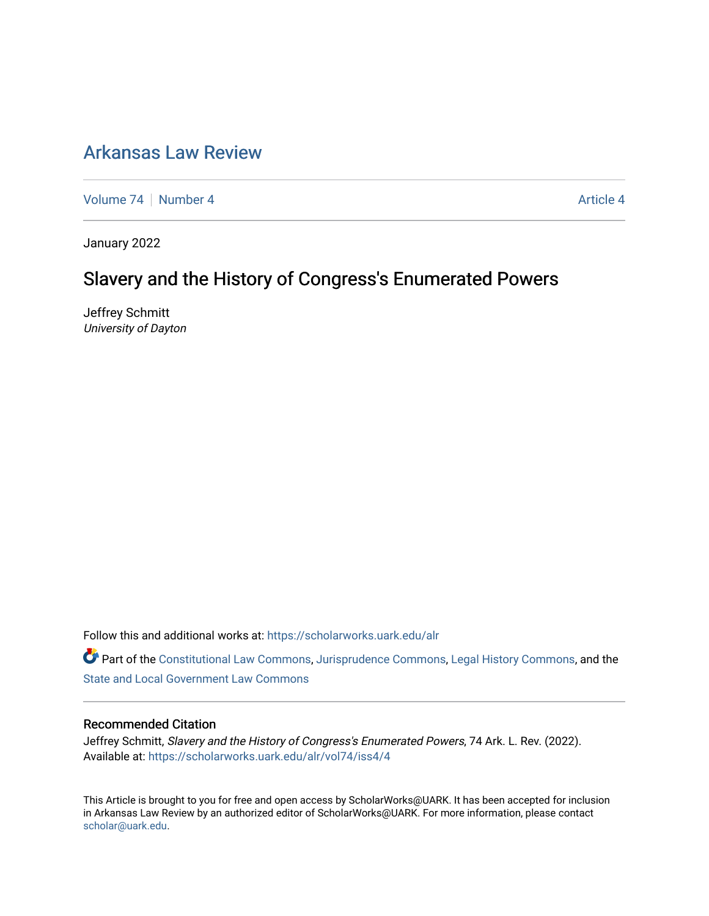# [Arkansas Law Review](https://scholarworks.uark.edu/alr)

[Volume 74](https://scholarworks.uark.edu/alr/vol74) | [Number 4](https://scholarworks.uark.edu/alr/vol74/iss4) Article 4

January 2022

# Slavery and the History of Congress's Enumerated Powers

Jeffrey Schmitt University of Dayton

Follow this and additional works at: [https://scholarworks.uark.edu/alr](https://scholarworks.uark.edu/alr?utm_source=scholarworks.uark.edu%2Falr%2Fvol74%2Fiss4%2F4&utm_medium=PDF&utm_campaign=PDFCoverPages) 

Part of the [Constitutional Law Commons,](http://network.bepress.com/hgg/discipline/589?utm_source=scholarworks.uark.edu%2Falr%2Fvol74%2Fiss4%2F4&utm_medium=PDF&utm_campaign=PDFCoverPages) [Jurisprudence Commons](http://network.bepress.com/hgg/discipline/610?utm_source=scholarworks.uark.edu%2Falr%2Fvol74%2Fiss4%2F4&utm_medium=PDF&utm_campaign=PDFCoverPages), [Legal History Commons,](http://network.bepress.com/hgg/discipline/904?utm_source=scholarworks.uark.edu%2Falr%2Fvol74%2Fiss4%2F4&utm_medium=PDF&utm_campaign=PDFCoverPages) and the [State and Local Government Law Commons](http://network.bepress.com/hgg/discipline/879?utm_source=scholarworks.uark.edu%2Falr%2Fvol74%2Fiss4%2F4&utm_medium=PDF&utm_campaign=PDFCoverPages) 

#### Recommended Citation

Jeffrey Schmitt, Slavery and the History of Congress's Enumerated Powers, 74 Ark. L. Rev. (2022). Available at: [https://scholarworks.uark.edu/alr/vol74/iss4/4](https://scholarworks.uark.edu/alr/vol74/iss4/4?utm_source=scholarworks.uark.edu%2Falr%2Fvol74%2Fiss4%2F4&utm_medium=PDF&utm_campaign=PDFCoverPages)

This Article is brought to you for free and open access by ScholarWorks@UARK. It has been accepted for inclusion in Arkansas Law Review by an authorized editor of ScholarWorks@UARK. For more information, please contact [scholar@uark.edu](mailto:scholar@uark.edu).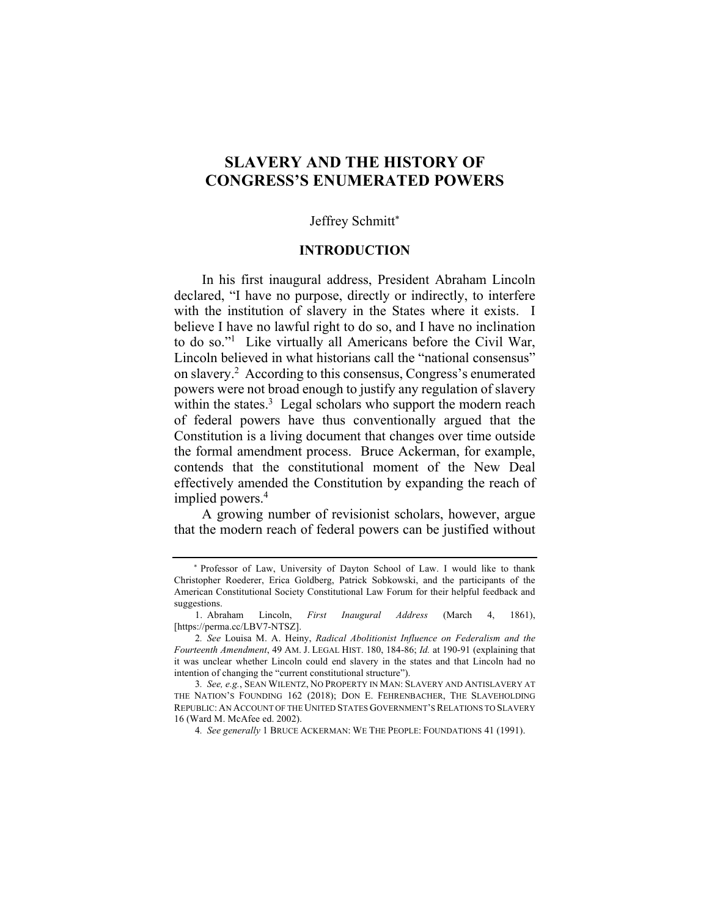# **SLAVERY AND THE HISTORY OF CONGRESS'S ENUMERATED POWERS**

#### Jeffrey Schmitt\*

#### **INTRODUCTION**

In his first inaugural address, President Abraham Lincoln declared, "I have no purpose, directly or indirectly, to interfere with the institution of slavery in the States where it exists. I believe I have no lawful right to do so, and I have no inclination to do so."1 Like virtually all Americans before the Civil War, Lincoln believed in what historians call the "national consensus" on slavery.2 According to this consensus, Congress's enumerated powers were not broad enough to justify any regulation of slavery within the states.<sup>3</sup> Legal scholars who support the modern reach of federal powers have thus conventionally argued that the Constitution is a living document that changes over time outside the formal amendment process. Bruce Ackerman, for example, contends that the constitutional moment of the New Deal effectively amended the Constitution by expanding the reach of implied powers.<sup>4</sup>

A growing number of revisionist scholars, however, argue that the modern reach of federal powers can be justified without

\* Professor of Law, University of Dayton School of Law. I would like to thank Christopher Roederer, Erica Goldberg, Patrick Sobkowski, and the participants of the American Constitutional Society Constitutional Law Forum for their helpful feedback and suggestions.

<sup>1.</sup> Abraham Lincoln, *First Inaugural Address* (March 4, 1861), [https://perma.cc/LBV7-NTSZ].

<sup>2</sup>*. See* Louisa M. A. Heiny, *Radical Abolitionist Influence on Federalism and the Fourteenth Amendment*, 49 AM. J. LEGAL HIST. 180, 184-86; *Id.* at 190-91 (explaining that it was unclear whether Lincoln could end slavery in the states and that Lincoln had no intention of changing the "current constitutional structure").

<sup>3</sup>*. See, e.g.*, SEAN WILENTZ, NO PROPERTY IN MAN: SLAVERY AND ANTISLAVERY AT THE NATION'S FOUNDING 162 (2018); DON E. FEHRENBACHER, THE SLAVEHOLDING REPUBLIC: AN ACCOUNT OF THE UNITED STATES GOVERNMENT'S RELATIONS TO SLAVERY 16 (Ward M. McAfee ed. 2002).

<sup>4</sup>*. See generally* 1 BRUCE ACKERMAN: WE THE PEOPLE: FOUNDATIONS 41 (1991).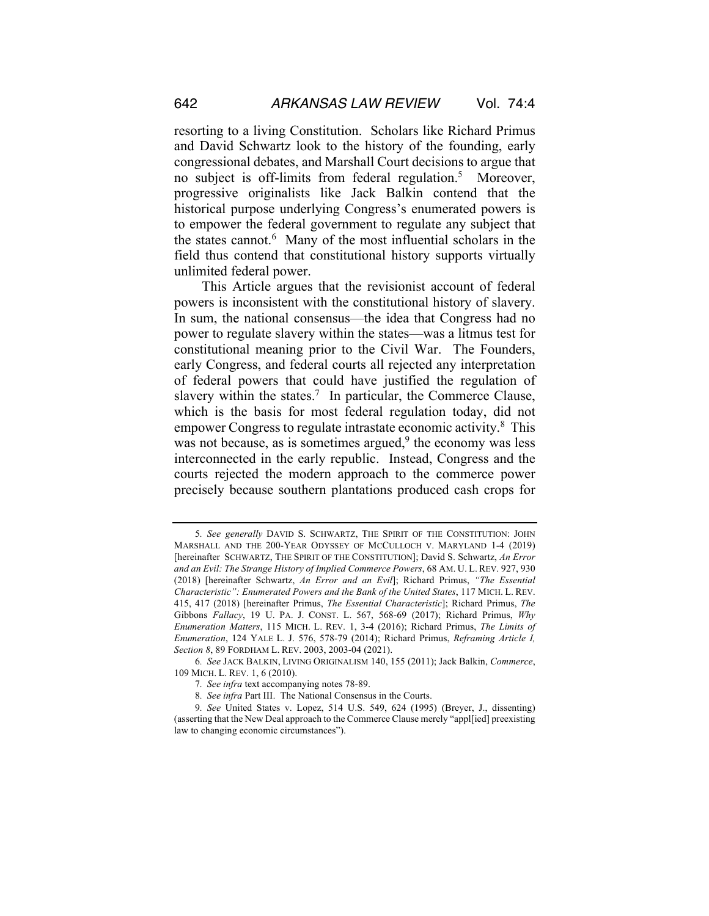resorting to a living Constitution. Scholars like Richard Primus and David Schwartz look to the history of the founding, early congressional debates, and Marshall Court decisions to argue that no subject is off-limits from federal regulation.<sup>5</sup> Moreover, progressive originalists like Jack Balkin contend that the historical purpose underlying Congress's enumerated powers is to empower the federal government to regulate any subject that the states cannot.<sup>6</sup> Many of the most influential scholars in the field thus contend that constitutional history supports virtually unlimited federal power.

This Article argues that the revisionist account of federal powers is inconsistent with the constitutional history of slavery. In sum, the national consensus—the idea that Congress had no power to regulate slavery within the states—was a litmus test for constitutional meaning prior to the Civil War. The Founders, early Congress, and federal courts all rejected any interpretation of federal powers that could have justified the regulation of slavery within the states.<sup>7</sup> In particular, the Commerce Clause, which is the basis for most federal regulation today, did not empower Congress to regulate intrastate economic activity.<sup>8</sup> This was not because, as is sometimes argued, $9$  the economy was less interconnected in the early republic. Instead, Congress and the courts rejected the modern approach to the commerce power precisely because southern plantations produced cash crops for

<sup>5</sup>*. See generally* DAVID S. SCHWARTZ, THE SPIRIT OF THE CONSTITUTION: JOHN MARSHALL AND THE 200-YEAR ODYSSEY OF MCCULLOCH V. MARYLAND 1-4 (2019) [hereinafter SCHWARTZ, THE SPIRIT OF THE CONSTITUTION]; David S. Schwartz, *An Error and an Evil: The Strange History of Implied Commerce Powers*, 68 AM. U. L. REV. 927, 930 (2018) [hereinafter Schwartz, *An Error and an Evil*]; Richard Primus, *"The Essential Characteristic": Enumerated Powers and the Bank of the United States*, 117 MICH. L. REV. 415, 417 (2018) [hereinafter Primus, *The Essential Characteristic*]; Richard Primus, *The*  Gibbons *Fallacy*, 19 U. PA. J. CONST. L. 567, 568-69 (2017); Richard Primus, *Why Enumeration Matters*, 115 MICH. L. REV. 1, 3-4 (2016); Richard Primus, *The Limits of Enumeration*, 124 YALE L. J. 576, 578-79 (2014); Richard Primus, *Reframing Article I, Section 8*, 89 FORDHAM L. REV. 2003, 2003-04 (2021).

<sup>6</sup>*. See* JACK BALKIN, LIVING ORIGINALISM 140, 155 (2011); Jack Balkin, *Commerce*, 109 MICH. L. REV. 1, 6 (2010).

<sup>7</sup>*. See infra* text accompanying notes 78-89.

<sup>8</sup>*. See infra* Part III. The National Consensus in the Courts.

<sup>9</sup>*. See* United States v. Lopez, 514 U.S. 549, 624 (1995) (Breyer, J., dissenting) (asserting that the New Deal approach to the Commerce Clause merely "appl[ied] preexisting law to changing economic circumstances").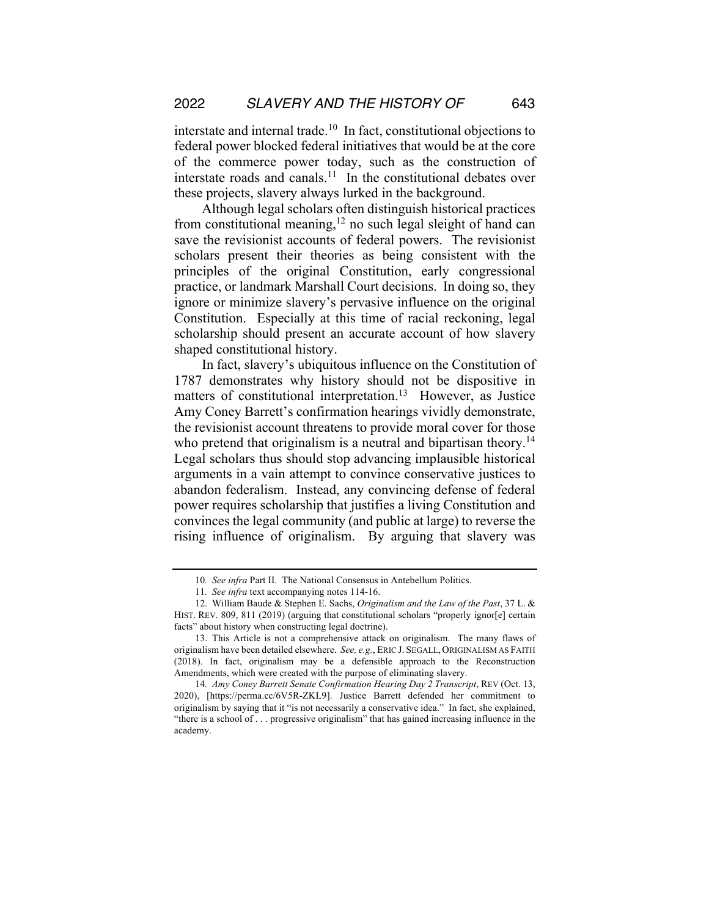interstate and internal trade.10 In fact, constitutional objections to federal power blocked federal initiatives that would be at the core of the commerce power today, such as the construction of interstate roads and canals. $11$  In the constitutional debates over these projects, slavery always lurked in the background.

Although legal scholars often distinguish historical practices from constitutional meaning,<sup>12</sup> no such legal sleight of hand can save the revisionist accounts of federal powers. The revisionist scholars present their theories as being consistent with the principles of the original Constitution, early congressional practice, or landmark Marshall Court decisions. In doing so, they ignore or minimize slavery's pervasive influence on the original Constitution. Especially at this time of racial reckoning, legal scholarship should present an accurate account of how slavery shaped constitutional history.

In fact, slavery's ubiquitous influence on the Constitution of 1787 demonstrates why history should not be dispositive in matters of constitutional interpretation.<sup>13</sup> However, as Justice Amy Coney Barrett's confirmation hearings vividly demonstrate, the revisionist account threatens to provide moral cover for those who pretend that originalism is a neutral and bipartisan theory.<sup>14</sup> Legal scholars thus should stop advancing implausible historical arguments in a vain attempt to convince conservative justices to abandon federalism. Instead, any convincing defense of federal power requires scholarship that justifies a living Constitution and convinces the legal community (and public at large) to reverse the rising influence of originalism. By arguing that slavery was

<sup>10</sup>*. See infra* Part II. The National Consensus in Antebellum Politics.

<sup>11</sup>*. See infra* text accompanying notes 114-16.

<sup>12.</sup> William Baude & Stephen E. Sachs, *Originalism and the Law of the Past*, 37 L. & HIST. REV. 809, 811 (2019) (arguing that constitutional scholars "properly ignor[e] certain facts" about history when constructing legal doctrine).

<sup>13.</sup> This Article is not a comprehensive attack on originalism. The many flaws of originalism have been detailed elsewhere. *See, e.g.*, ERIC J. SEGALL, ORIGINALISM AS FAITH (2018). In fact, originalism may be a defensible approach to the Reconstruction Amendments, which were created with the purpose of eliminating slavery.

<sup>14</sup>*. Amy Coney Barrett Senate Confirmation Hearing Day 2 Transcript*, REV (Oct. 13, 2020), [https://perma.cc/6V5R-ZKL9]. Justice Barrett defended her commitment to originalism by saying that it "is not necessarily a conservative idea." In fact, she explained, "there is a school of . . . progressive originalism" that has gained increasing influence in the academy.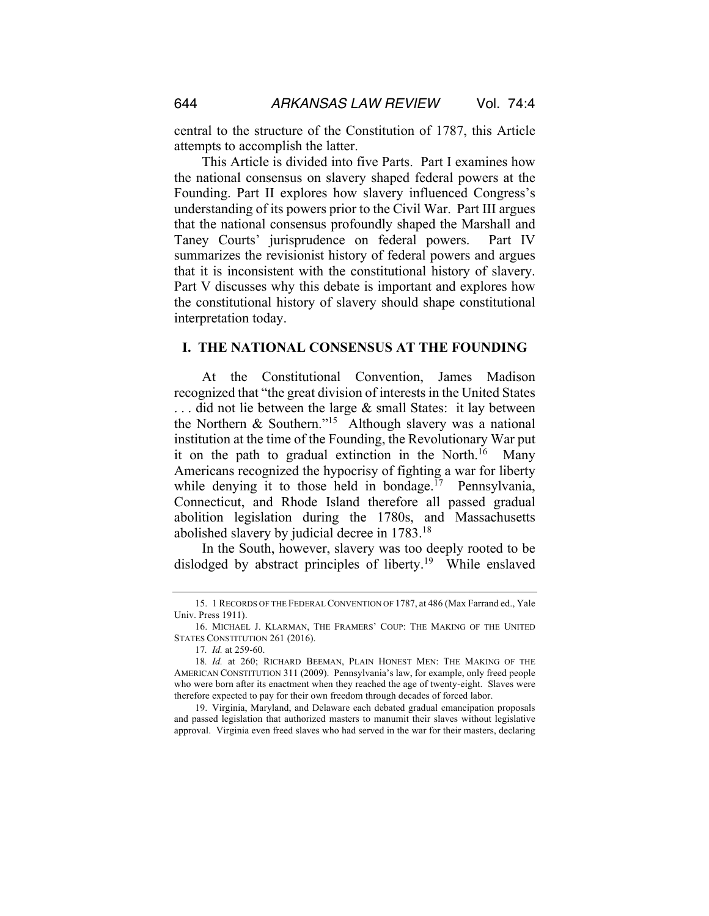central to the structure of the Constitution of 1787, this Article attempts to accomplish the latter.

This Article is divided into five Parts. Part I examines how the national consensus on slavery shaped federal powers at the Founding. Part II explores how slavery influenced Congress's understanding of its powers prior to the Civil War. Part III argues that the national consensus profoundly shaped the Marshall and Taney Courts' jurisprudence on federal powers. Part IV summarizes the revisionist history of federal powers and argues that it is inconsistent with the constitutional history of slavery. Part V discusses why this debate is important and explores how the constitutional history of slavery should shape constitutional interpretation today.

#### **I. THE NATIONAL CONSENSUS AT THE FOUNDING**

At the Constitutional Convention, James Madison recognized that "the great division of interests in the United States . . . did not lie between the large & small States: it lay between the Northern & Southern."15 Although slavery was a national institution at the time of the Founding, the Revolutionary War put it on the path to gradual extinction in the North.<sup>16</sup> Many Americans recognized the hypocrisy of fighting a war for liberty while denying it to those held in bondage.<sup>17</sup> Pennsylvania, Connecticut, and Rhode Island therefore all passed gradual abolition legislation during the 1780s, and Massachusetts abolished slavery by judicial decree in 1783.18

In the South, however, slavery was too deeply rooted to be dislodged by abstract principles of liberty.<sup>19</sup> While enslaved

<sup>15.</sup> 1 RECORDS OF THE FEDERAL CONVENTION OF 1787, at 486 (Max Farrand ed., Yale Univ. Press 1911).

<sup>16.</sup> MICHAEL J. KLARMAN, THE FRAMERS' COUP: THE MAKING OF THE UNITED STATES CONSTITUTION 261 (2016).

<sup>17</sup>*. Id.* at 259-60.

<sup>18</sup>*. Id.* at 260; RICHARD BEEMAN, PLAIN HONEST MEN: THE MAKING OF THE AMERICAN CONSTITUTION 311 (2009). Pennsylvania's law, for example, only freed people who were born after its enactment when they reached the age of twenty-eight. Slaves were therefore expected to pay for their own freedom through decades of forced labor.

<sup>19.</sup> Virginia, Maryland, and Delaware each debated gradual emancipation proposals and passed legislation that authorized masters to manumit their slaves without legislative approval. Virginia even freed slaves who had served in the war for their masters, declaring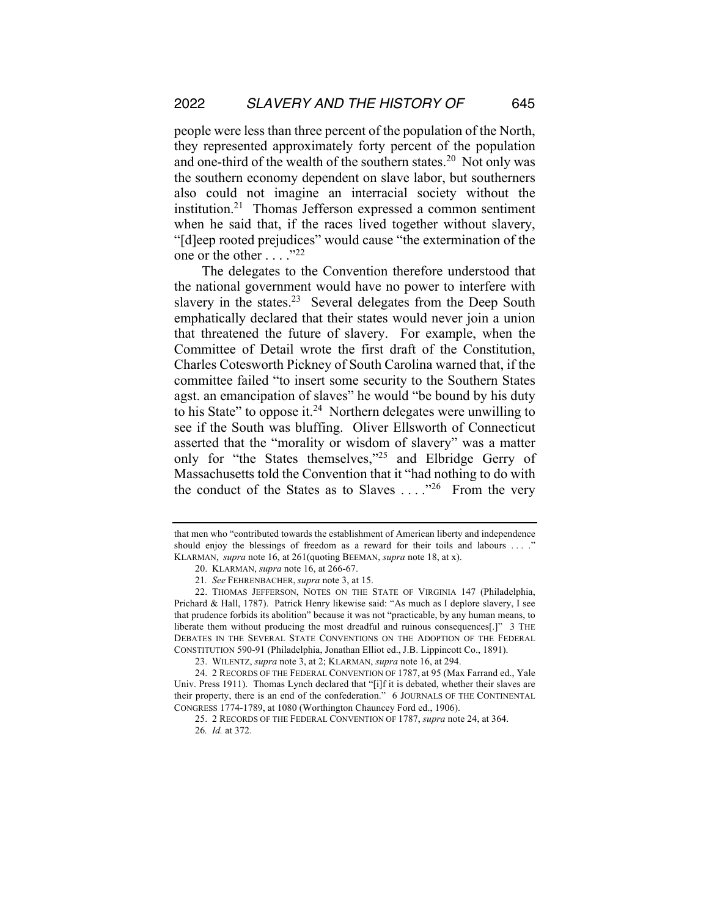people were less than three percent of the population of the North, they represented approximately forty percent of the population and one-third of the wealth of the southern states.<sup>20</sup> Not only was the southern economy dependent on slave labor, but southerners also could not imagine an interracial society without the institution.21 Thomas Jefferson expressed a common sentiment when he said that, if the races lived together without slavery, "[d]eep rooted prejudices" would cause "the extermination of the one or the other  $\dots$  ."22

The delegates to the Convention therefore understood that the national government would have no power to interfere with slavery in the states.<sup>23</sup> Several delegates from the Deep South emphatically declared that their states would never join a union that threatened the future of slavery. For example, when the Committee of Detail wrote the first draft of the Constitution, Charles Cotesworth Pickney of South Carolina warned that, if the committee failed "to insert some security to the Southern States agst. an emancipation of slaves" he would "be bound by his duty to his State" to oppose it.<sup>24</sup> Northern delegates were unwilling to see if the South was bluffing. Oliver Ellsworth of Connecticut asserted that the "morality or wisdom of slavery" was a matter only for "the States themselves,"25 and Elbridge Gerry of Massachusetts told the Convention that it "had nothing to do with the conduct of the States as to Slaves  $\dots$ <sup>26</sup> From the very

that men who "contributed towards the establishment of American liberty and independence should enjoy the blessings of freedom as a reward for their toils and labours . . . ." KLARMAN, *supra* note 16, at 261(quoting BEEMAN, *supra* note 18, at x).

<sup>20.</sup> KLARMAN, *supra* note 16, at 266-67.

<sup>21</sup>*. See* FEHRENBACHER, *supra* note 3, at 15.

<sup>22.</sup> THOMAS JEFFERSON, NOTES ON THE STATE OF VIRGINIA 147 (Philadelphia, Prichard & Hall, 1787). Patrick Henry likewise said: "As much as I deplore slavery, I see that prudence forbids its abolition" because it was not "practicable, by any human means, to liberate them without producing the most dreadful and ruinous consequences[.]" 3 THE DEBATES IN THE SEVERAL STATE CONVENTIONS ON THE ADOPTION OF THE FEDERAL CONSTITUTION 590-91 (Philadelphia, Jonathan Elliot ed., J.B. Lippincott Co., 1891).

<sup>23.</sup> WILENTZ, *supra* note 3, at 2; KLARMAN, *supra* note 16, at 294.

<sup>24.</sup> 2 RECORDS OF THE FEDERAL CONVENTION OF 1787, at 95 (Max Farrand ed., Yale Univ. Press 1911). Thomas Lynch declared that "[i]f it is debated, whether their slaves are their property, there is an end of the confederation." 6 JOURNALS OF THE CONTINENTAL CONGRESS 1774-1789, at 1080 (Worthington Chauncey Ford ed., 1906).

<sup>25.</sup> 2 RECORDS OF THE FEDERAL CONVENTION OF 1787, *supra* note 24, at 364. 26*. Id.* at 372.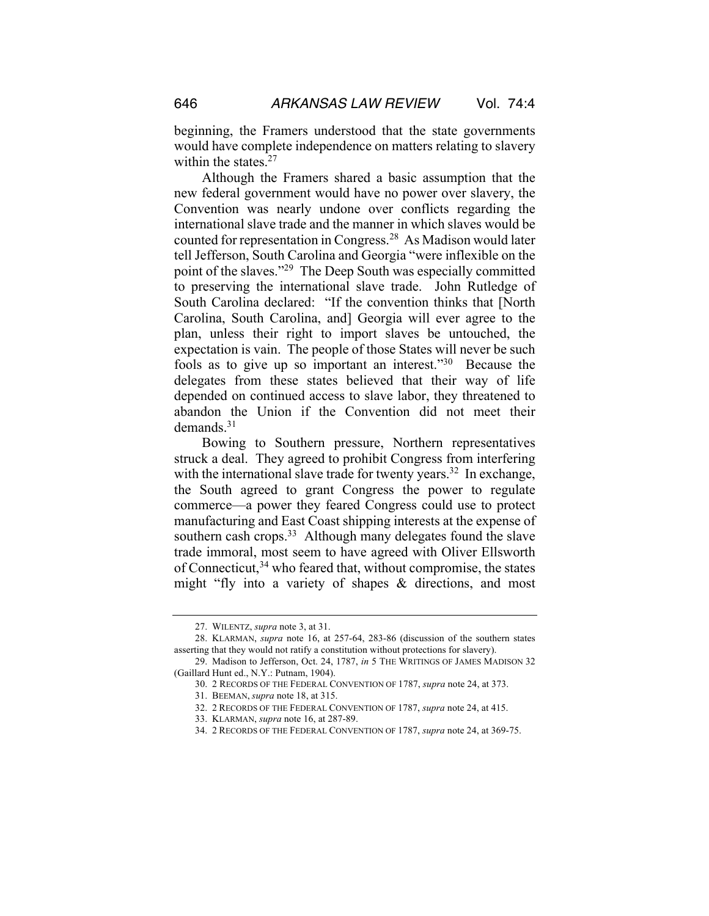beginning, the Framers understood that the state governments would have complete independence on matters relating to slavery within the states. $27$ 

Although the Framers shared a basic assumption that the new federal government would have no power over slavery, the Convention was nearly undone over conflicts regarding the international slave trade and the manner in which slaves would be counted for representation in Congress.28 As Madison would later tell Jefferson, South Carolina and Georgia "were inflexible on the point of the slaves."29 The Deep South was especially committed to preserving the international slave trade. John Rutledge of South Carolina declared: "If the convention thinks that [North Carolina, South Carolina, and] Georgia will ever agree to the plan, unless their right to import slaves be untouched, the expectation is vain. The people of those States will never be such fools as to give up so important an interest."30 Because the delegates from these states believed that their way of life depended on continued access to slave labor, they threatened to abandon the Union if the Convention did not meet their demands.31

Bowing to Southern pressure, Northern representatives struck a deal. They agreed to prohibit Congress from interfering with the international slave trade for twenty years.<sup>32</sup> In exchange, the South agreed to grant Congress the power to regulate commerce—a power they feared Congress could use to protect manufacturing and East Coast shipping interests at the expense of southern cash crops.<sup>33</sup> Although many delegates found the slave trade immoral, most seem to have agreed with Oliver Ellsworth of Connecticut,<sup>34</sup> who feared that, without compromise, the states might "fly into a variety of shapes & directions, and most

<sup>27.</sup> WILENTZ, *supra* note 3, at 31.

<sup>28.</sup> KLARMAN, *supra* note 16, at 257-64, 283-86 (discussion of the southern states asserting that they would not ratify a constitution without protections for slavery).

<sup>29.</sup> Madison to Jefferson, Oct. 24, 1787, *in* 5 THE WRITINGS OF JAMES MADISON 32 (Gaillard Hunt ed., N.Y.: Putnam, 1904).

<sup>30.</sup> 2 RECORDS OF THE FEDERAL CONVENTION OF 1787, *supra* note 24, at 373.

<sup>31.</sup> BEEMAN, *supra* note 18, at 315.

<sup>32.</sup> 2 RECORDS OF THE FEDERAL CONVENTION OF 1787, *supra* note 24, at 415.

<sup>33.</sup> KLARMAN, *supra* note 16, at 287-89.

<sup>34.</sup> 2 RECORDS OF THE FEDERAL CONVENTION OF 1787, *supra* note 24, at 369-75.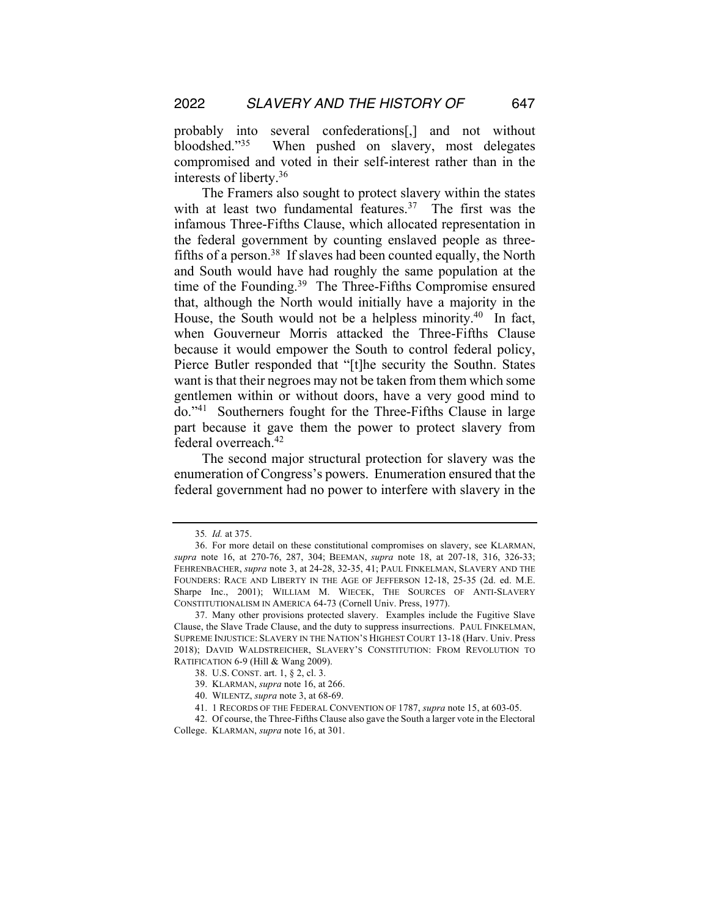probably into several confederations[,] and not without bloodshed."35 When pushed on slavery, most delegates compromised and voted in their self-interest rather than in the interests of liberty.36

The Framers also sought to protect slavery within the states with at least two fundamental features.<sup>37</sup> The first was the infamous Three-Fifths Clause, which allocated representation in the federal government by counting enslaved people as threefifths of a person.<sup>38</sup> If slaves had been counted equally, the North and South would have had roughly the same population at the time of the Founding.<sup>39</sup> The Three-Fifths Compromise ensured that, although the North would initially have a majority in the House, the South would not be a helpless minority.<sup>40</sup> In fact, when Gouverneur Morris attacked the Three-Fifths Clause because it would empower the South to control federal policy, Pierce Butler responded that "[t]he security the Southn. States want is that their negroes may not be taken from them which some gentlemen within or without doors, have a very good mind to do."41 Southerners fought for the Three-Fifths Clause in large part because it gave them the power to protect slavery from federal overreach.<sup>42</sup>

The second major structural protection for slavery was the enumeration of Congress's powers. Enumeration ensured that the federal government had no power to interfere with slavery in the

<sup>35</sup>*. Id.* at 375.

<sup>36.</sup> For more detail on these constitutional compromises on slavery, see KLARMAN, *supra* note 16, at 270-76, 287, 304; BEEMAN, *supra* note 18, at 207-18, 316, 326-33; FEHRENBACHER, *supra* note 3, at 24-28, 32-35, 41; PAUL FINKELMAN, SLAVERY AND THE FOUNDERS: RACE AND LIBERTY IN THE AGE OF JEFFERSON 12-18, 25-35 (2d. ed. M.E. Sharpe Inc., 2001); WILLIAM M. WIECEK, THE SOURCES OF ANTI-SLAVERY CONSTITUTIONALISM IN AMERICA 64-73 (Cornell Univ. Press, 1977).

<sup>37.</sup> Many other provisions protected slavery. Examples include the Fugitive Slave Clause, the Slave Trade Clause, and the duty to suppress insurrections. PAUL FINKELMAN, SUPREME INJUSTICE: SLAVERY IN THE NATION'S HIGHEST COURT 13-18 (Harv. Univ. Press 2018); DAVID WALDSTREICHER, SLAVERY'S CONSTITUTION: FROM REVOLUTION TO RATIFICATION 6-9 (Hill & Wang 2009).

<sup>38.</sup> U.S. CONST. art. 1, § 2, cl. 3.

<sup>39.</sup> KLARMAN, *supra* note 16, at 266.

<sup>40.</sup> WILENTZ, *supra* note 3, at 68-69.

<sup>41.</sup> 1 RECORDS OF THE FEDERAL CONVENTION OF 1787, *supra* note 15, at 603-05.

<sup>42.</sup> Of course, the Three-Fifths Clause also gave the South a larger vote in the Electoral College. KLARMAN, *supra* note 16, at 301.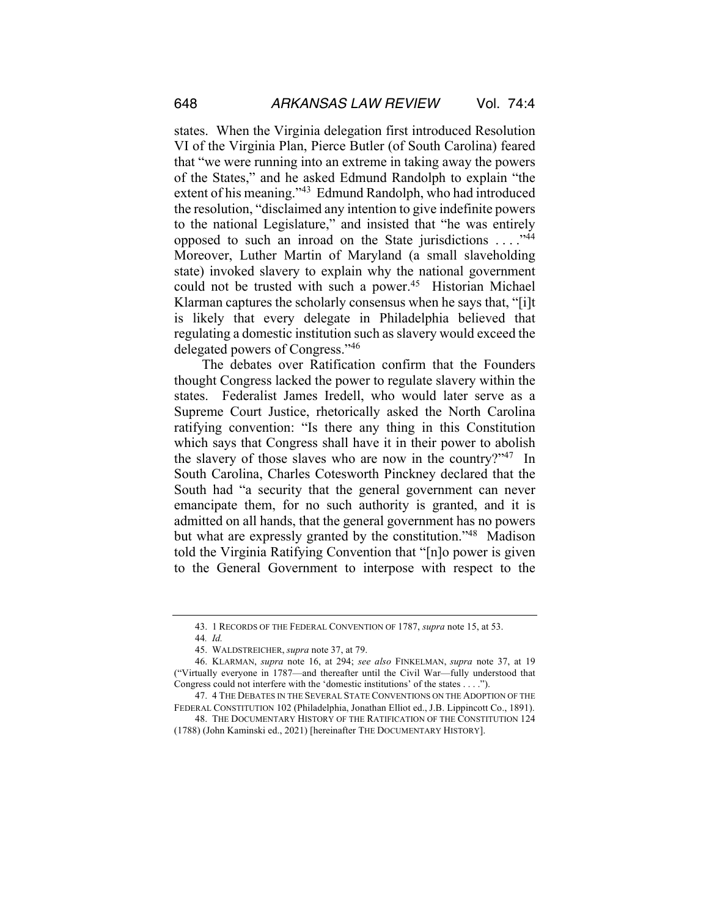states. When the Virginia delegation first introduced Resolution VI of the Virginia Plan, Pierce Butler (of South Carolina) feared that "we were running into an extreme in taking away the powers of the States," and he asked Edmund Randolph to explain "the extent of his meaning."<sup>43</sup> Edmund Randolph, who had introduced the resolution, "disclaimed any intention to give indefinite powers to the national Legislature," and insisted that "he was entirely opposed to such an inroad on the State jurisdictions . . . ."44 Moreover, Luther Martin of Maryland (a small slaveholding state) invoked slavery to explain why the national government could not be trusted with such a power.<sup>45</sup> Historian Michael Klarman captures the scholarly consensus when he says that, "[i]t is likely that every delegate in Philadelphia believed that regulating a domestic institution such as slavery would exceed the delegated powers of Congress."46

The debates over Ratification confirm that the Founders thought Congress lacked the power to regulate slavery within the states. Federalist James Iredell, who would later serve as a Supreme Court Justice, rhetorically asked the North Carolina ratifying convention: "Is there any thing in this Constitution which says that Congress shall have it in their power to abolish the slavery of those slaves who are now in the country?"<sup>47</sup> In South Carolina, Charles Cotesworth Pinckney declared that the South had "a security that the general government can never emancipate them, for no such authority is granted, and it is admitted on all hands, that the general government has no powers but what are expressly granted by the constitution."48 Madison told the Virginia Ratifying Convention that "[n]o power is given to the General Government to interpose with respect to the

<sup>43.</sup> 1 RECORDS OF THE FEDERAL CONVENTION OF 1787, *supra* note 15, at 53.

<sup>44</sup>*. Id.*

<sup>45.</sup> WALDSTREICHER, *supra* note 37, at 79.

<sup>46.</sup> KLARMAN, *supra* note 16, at 294; *see also* FINKELMAN, *supra* note 37, at 19 ("Virtually everyone in 1787—and thereafter until the Civil War—fully understood that Congress could not interfere with the 'domestic institutions' of the states . . . .").

<sup>47.</sup> 4 THE DEBATES IN THE SEVERAL STATE CONVENTIONS ON THE ADOPTION OF THE FEDERAL CONSTITUTION 102 (Philadelphia, Jonathan Elliot ed., J.B. Lippincott Co., 1891).

<sup>48.</sup> THE DOCUMENTARY HISTORY OF THE RATIFICATION OF THE CONSTITUTION 124 (1788) (John Kaminski ed., 2021) [hereinafter THE DOCUMENTARY HISTORY].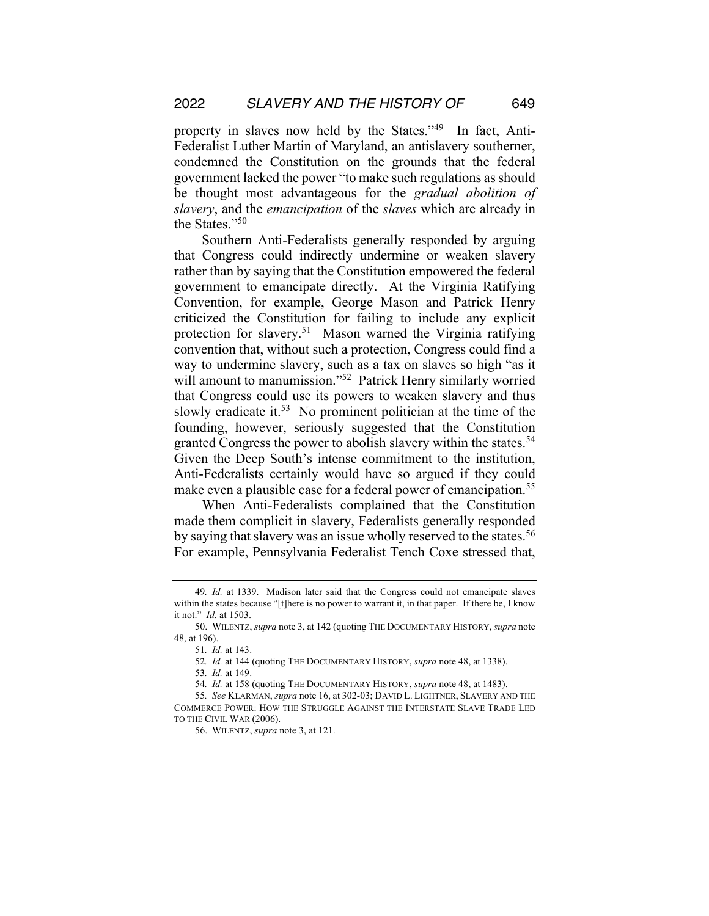property in slaves now held by the States."49 In fact, Anti-Federalist Luther Martin of Maryland, an antislavery southerner, condemned the Constitution on the grounds that the federal government lacked the power "to make such regulations as should be thought most advantageous for the *gradual abolition of slavery*, and the *emancipation* of the *slaves* which are already in the States."50

Southern Anti-Federalists generally responded by arguing that Congress could indirectly undermine or weaken slavery rather than by saying that the Constitution empowered the federal government to emancipate directly. At the Virginia Ratifying Convention, for example, George Mason and Patrick Henry criticized the Constitution for failing to include any explicit protection for slavery.51 Mason warned the Virginia ratifying convention that, without such a protection, Congress could find a way to undermine slavery, such as a tax on slaves so high "as it will amount to manumission."<sup>52</sup> Patrick Henry similarly worried that Congress could use its powers to weaken slavery and thus slowly eradicate it.<sup>53</sup> No prominent politician at the time of the founding, however, seriously suggested that the Constitution granted Congress the power to abolish slavery within the states.<sup>54</sup> Given the Deep South's intense commitment to the institution, Anti-Federalists certainly would have so argued if they could make even a plausible case for a federal power of emancipation.<sup>55</sup>

When Anti-Federalists complained that the Constitution made them complicit in slavery, Federalists generally responded by saying that slavery was an issue wholly reserved to the states.<sup>56</sup> For example, Pennsylvania Federalist Tench Coxe stressed that,

53*. Id.* at 149.

<sup>49</sup>*. Id.* at 1339. Madison later said that the Congress could not emancipate slaves within the states because "[t]here is no power to warrant it, in that paper. If there be, I know it not." *Id.* at 1503.

<sup>50.</sup> WILENTZ, *supra* note 3, at 142 (quoting THE DOCUMENTARY HISTORY, *supra* note 48, at 196).

<sup>51</sup>*. Id.* at 143.

<sup>52</sup>*. Id.* at 144 (quoting THE DOCUMENTARY HISTORY, *supra* note 48, at 1338).

<sup>54</sup>*. Id.* at 158 (quoting THE DOCUMENTARY HISTORY, *supra* note 48, at 1483).

<sup>55</sup>*. See* KLARMAN, *supra* note 16, at 302-03; DAVID L. LIGHTNER, SLAVERY AND THE COMMERCE POWER: HOW THE STRUGGLE AGAINST THE INTERSTATE SLAVE TRADE LED TO THE CIVIL WAR (2006).

<sup>56.</sup> WILENTZ, *supra* note 3, at 121.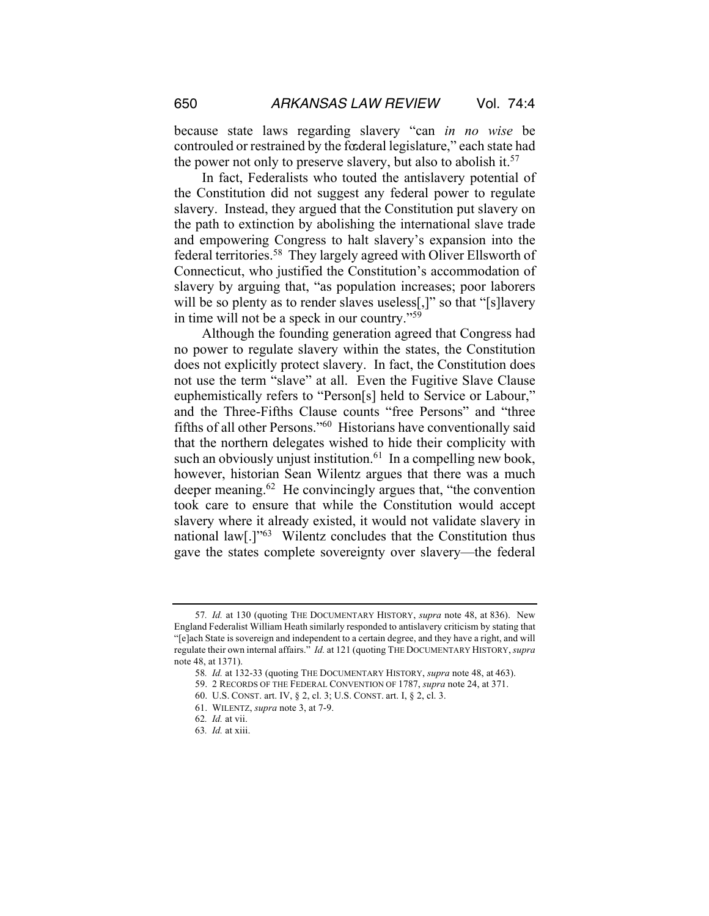because state laws regarding slavery "can *in no wise* be controuled or restrained by the fœderal legislature," each state had the power not only to preserve slavery, but also to abolish it.<sup>57</sup>

In fact, Federalists who touted the antislavery potential of the Constitution did not suggest any federal power to regulate slavery. Instead, they argued that the Constitution put slavery on the path to extinction by abolishing the international slave trade and empowering Congress to halt slavery's expansion into the federal territories.58 They largely agreed with Oliver Ellsworth of Connecticut, who justified the Constitution's accommodation of slavery by arguing that, "as population increases; poor laborers will be so plenty as to render slaves useless[,]" so that "[s]lavery in time will not be a speck in our country."59

Although the founding generation agreed that Congress had no power to regulate slavery within the states, the Constitution does not explicitly protect slavery. In fact, the Constitution does not use the term "slave" at all. Even the Fugitive Slave Clause euphemistically refers to "Person[s] held to Service or Labour," and the Three-Fifths Clause counts "free Persons" and "three fifths of all other Persons."60 Historians have conventionally said that the northern delegates wished to hide their complicity with such an obviously unjust institution. $61$  In a compelling new book, however, historian Sean Wilentz argues that there was a much deeper meaning.<sup>62</sup> He convincingly argues that, "the convention took care to ensure that while the Constitution would accept slavery where it already existed, it would not validate slavery in national law[.]"63 Wilentz concludes that the Constitution thus gave the states complete sovereignty over slavery—the federal

61. WILENTZ, *supra* note 3, at 7-9.

<sup>57</sup>*. Id.* at 130 (quoting THE DOCUMENTARY HISTORY, *supra* note 48, at 836). New England Federalist William Heath similarly responded to antislavery criticism by stating that "[e]ach State is sovereign and independent to a certain degree, and they have a right, and will regulate their own internal affairs." *Id.* at 121 (quoting THE DOCUMENTARY HISTORY, *supra* note 48, at 1371).

<sup>58</sup>*. Id.* at 132-33 (quoting THE DOCUMENTARY HISTORY, *supra* note 48, at 463).

<sup>59.</sup> 2 RECORDS OF THE FEDERAL CONVENTION OF 1787, *supra* note 24, at 371.

<sup>60.</sup> U.S. CONST. art. IV, § 2, cl. 3; U.S. CONST. art. I, § 2, cl. 3.

<sup>62</sup>*. Id.* at vii.

<sup>63</sup>*. Id.* at xiii.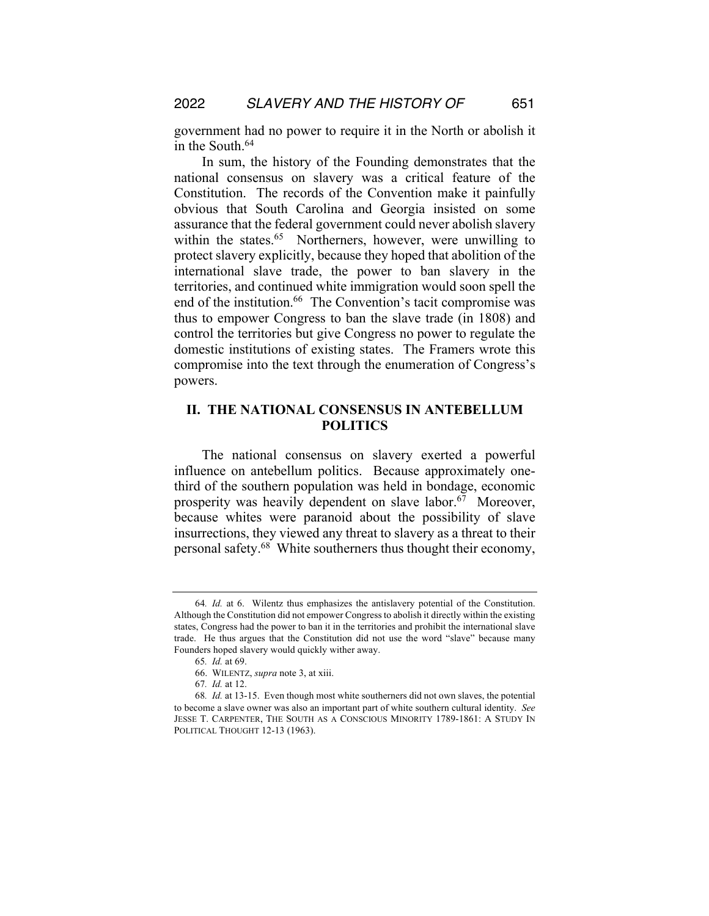government had no power to require it in the North or abolish it in the South.<sup>64</sup>

In sum, the history of the Founding demonstrates that the national consensus on slavery was a critical feature of the Constitution. The records of the Convention make it painfully obvious that South Carolina and Georgia insisted on some assurance that the federal government could never abolish slavery within the states.<sup>65</sup> Northerners, however, were unwilling to protect slavery explicitly, because they hoped that abolition of the international slave trade, the power to ban slavery in the territories, and continued white immigration would soon spell the end of the institution.<sup>66</sup> The Convention's tacit compromise was thus to empower Congress to ban the slave trade (in 1808) and control the territories but give Congress no power to regulate the domestic institutions of existing states. The Framers wrote this compromise into the text through the enumeration of Congress's powers.

## **II. THE NATIONAL CONSENSUS IN ANTEBELLUM POLITICS**

The national consensus on slavery exerted a powerful influence on antebellum politics. Because approximately onethird of the southern population was held in bondage, economic prosperity was heavily dependent on slave labor.<sup>67</sup> Moreover, because whites were paranoid about the possibility of slave insurrections, they viewed any threat to slavery as a threat to their personal safety.68 White southerners thus thought their economy,

<sup>64</sup>*. Id.* at 6. Wilentz thus emphasizes the antislavery potential of the Constitution. Although the Constitution did not empower Congress to abolish it directly within the existing states, Congress had the power to ban it in the territories and prohibit the international slave trade. He thus argues that the Constitution did not use the word "slave" because many Founders hoped slavery would quickly wither away.

<sup>65</sup>*. Id.* at 69.

<sup>66.</sup> WILENTZ, *supra* note 3, at xiii.

<sup>67</sup>*. Id.* at 12.

<sup>68</sup>*. Id.* at 13-15. Even though most white southerners did not own slaves, the potential to become a slave owner was also an important part of white southern cultural identity. *See* JESSE T. CARPENTER, THE SOUTH AS A CONSCIOUS MINORITY 1789-1861: A STUDY IN POLITICAL THOUGHT 12-13 (1963).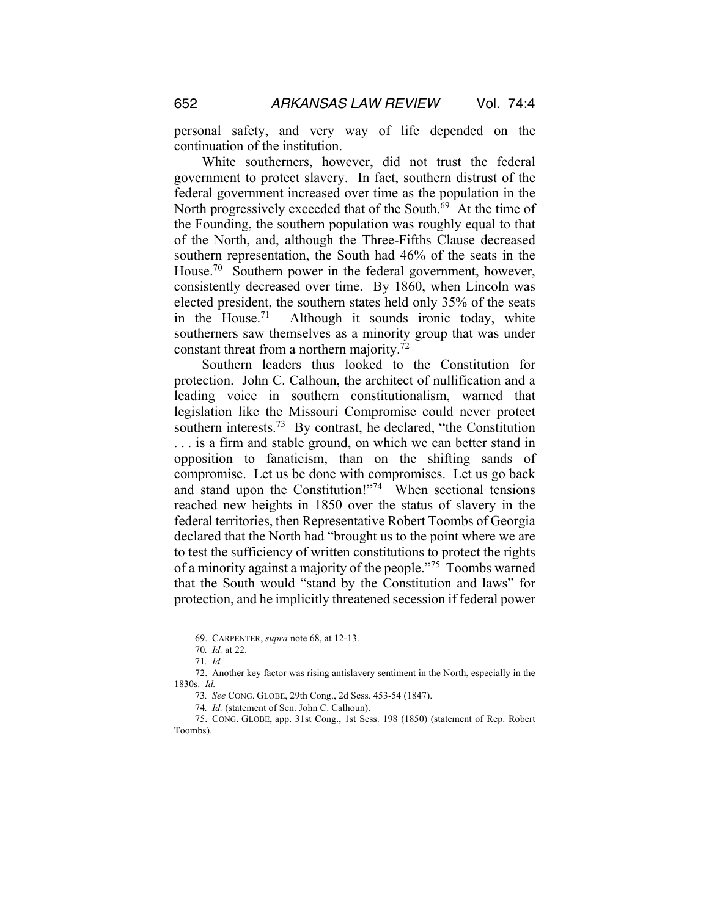personal safety, and very way of life depended on the continuation of the institution.

White southerners, however, did not trust the federal government to protect slavery. In fact, southern distrust of the federal government increased over time as the population in the North progressively exceeded that of the South.<sup>69</sup> At the time of the Founding, the southern population was roughly equal to that of the North, and, although the Three-Fifths Clause decreased southern representation, the South had 46% of the seats in the House.<sup>70</sup> Southern power in the federal government, however, consistently decreased over time. By 1860, when Lincoln was elected president, the southern states held only 35% of the seats in the House.<sup>71</sup> Although it sounds ironic today, white southerners saw themselves as a minority group that was under constant threat from a northern majority.<sup>72</sup>

Southern leaders thus looked to the Constitution for protection. John C. Calhoun, the architect of nullification and a leading voice in southern constitutionalism, warned that legislation like the Missouri Compromise could never protect southern interests.<sup>73</sup> By contrast, he declared, "the Constitution" . . . is a firm and stable ground, on which we can better stand in opposition to fanaticism, than on the shifting sands of compromise. Let us be done with compromises. Let us go back and stand upon the Constitution!"<sup>74</sup> When sectional tensions reached new heights in 1850 over the status of slavery in the federal territories, then Representative Robert Toombs of Georgia declared that the North had "brought us to the point where we are to test the sufficiency of written constitutions to protect the rights of a minority against a majority of the people."75 Toombs warned that the South would "stand by the Constitution and laws" for protection, and he implicitly threatened secession if federal power

<sup>69.</sup> CARPENTER, *supra* note 68, at 12-13.

<sup>70</sup>*. Id.* at 22.

<sup>71</sup>*. Id.*

<sup>72.</sup> Another key factor was rising antislavery sentiment in the North, especially in the 1830s. *Id.*

<sup>73</sup>*. See* CONG. GLOBE, 29th Cong., 2d Sess. 453-54 (1847).

<sup>74</sup>*. Id.* (statement of Sen. John C. Calhoun).

<sup>75.</sup> CONG. GLOBE, app. 31st Cong., 1st Sess. 198 (1850) (statement of Rep. Robert Toombs).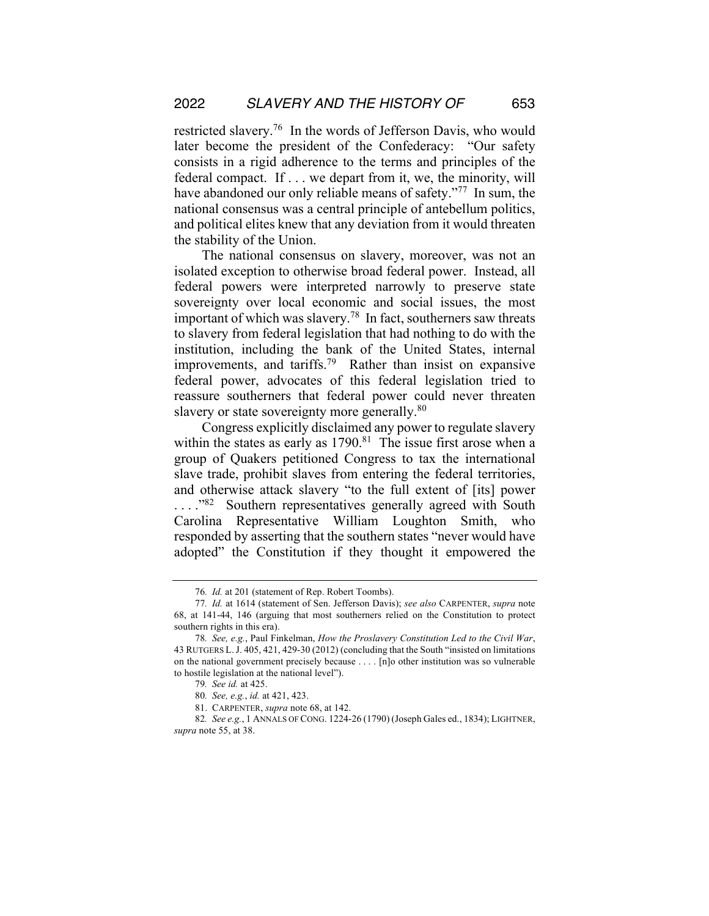restricted slavery.76 In the words of Jefferson Davis, who would later become the president of the Confederacy: "Our safety consists in a rigid adherence to the terms and principles of the federal compact. If . . . we depart from it, we, the minority, will have abandoned our only reliable means of safety."<sup>77</sup> In sum, the national consensus was a central principle of antebellum politics, and political elites knew that any deviation from it would threaten the stability of the Union.

The national consensus on slavery, moreover, was not an isolated exception to otherwise broad federal power. Instead, all federal powers were interpreted narrowly to preserve state sovereignty over local economic and social issues, the most important of which was slavery.<sup>78</sup> In fact, southerners saw threats to slavery from federal legislation that had nothing to do with the institution, including the bank of the United States, internal improvements, and tariffs.79 Rather than insist on expansive federal power, advocates of this federal legislation tried to reassure southerners that federal power could never threaten slavery or state sovereignty more generally.<sup>80</sup>

Congress explicitly disclaimed any power to regulate slavery within the states as early as  $1790$ .<sup>81</sup> The issue first arose when a group of Quakers petitioned Congress to tax the international slave trade, prohibit slaves from entering the federal territories, and otherwise attack slavery "to the full extent of [its] power ...."82 Southern representatives generally agreed with South Carolina Representative William Loughton Smith, who responded by asserting that the southern states "never would have adopted" the Constitution if they thought it empowered the

<sup>76</sup>*. Id.* at 201 (statement of Rep. Robert Toombs).

<sup>77</sup>*. Id.* at 1614 (statement of Sen. Jefferson Davis); *see also* CARPENTER, *supra* note 68, at 141-44, 146 (arguing that most southerners relied on the Constitution to protect southern rights in this era).

<sup>78</sup>*. See, e.g.*, Paul Finkelman, *How the Proslavery Constitution Led to the Civil War*, 43 RUTGERS L.J. 405, 421, 429-30 (2012) (concluding that the South "insisted on limitations on the national government precisely because . . . . [n]o other institution was so vulnerable to hostile legislation at the national level").

<sup>79</sup>*. See id.* at 425.

<sup>80</sup>*. See, e.g.*, *id.* at 421, 423.

<sup>81.</sup> CARPENTER, *supra* note 68, at 142.

<sup>82</sup>*. See e.g.*, 1 ANNALS OF CONG. 1224-26 (1790) (Joseph Gales ed., 1834); LIGHTNER, *supra* note 55, at 38.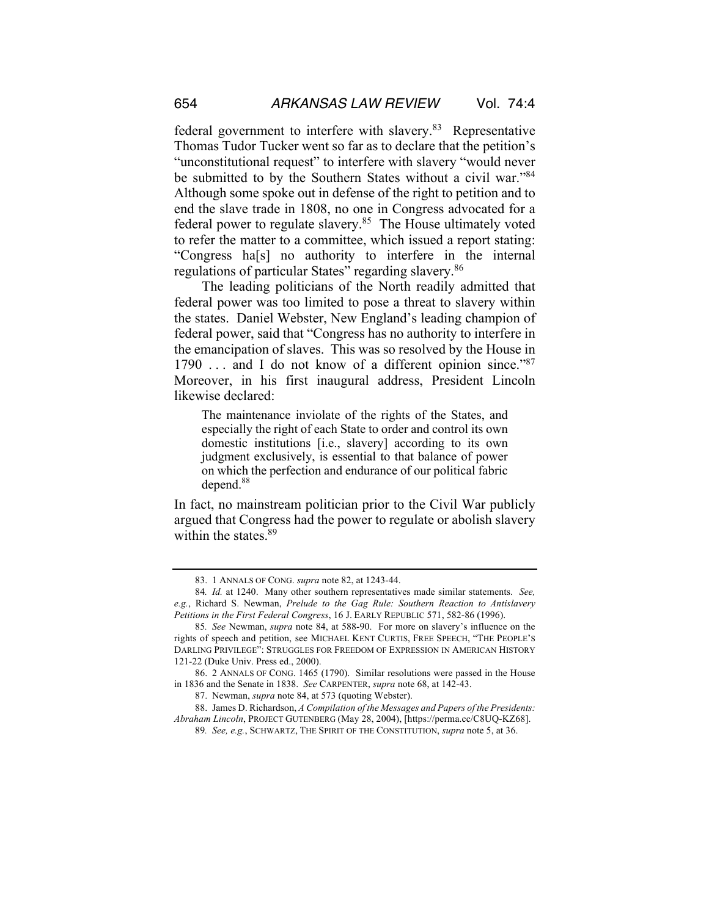federal government to interfere with slavery.<sup>83</sup> Representative Thomas Tudor Tucker went so far as to declare that the petition's "unconstitutional request" to interfere with slavery "would never be submitted to by the Southern States without a civil war."<sup>84</sup> Although some spoke out in defense of the right to petition and to end the slave trade in 1808, no one in Congress advocated for a federal power to regulate slavery.<sup>85</sup> The House ultimately voted to refer the matter to a committee, which issued a report stating: "Congress ha[s] no authority to interfere in the internal regulations of particular States" regarding slavery.<sup>86</sup>

The leading politicians of the North readily admitted that federal power was too limited to pose a threat to slavery within the states. Daniel Webster, New England's leading champion of federal power, said that "Congress has no authority to interfere in the emancipation of slaves. This was so resolved by the House in 1790 ... and I do not know of a different opinion since."<sup>87</sup> Moreover, in his first inaugural address, President Lincoln likewise declared:

The maintenance inviolate of the rights of the States, and especially the right of each State to order and control its own domestic institutions [i.e., slavery] according to its own judgment exclusively, is essential to that balance of power on which the perfection and endurance of our political fabric depend.<sup>88</sup>

In fact, no mainstream politician prior to the Civil War publicly argued that Congress had the power to regulate or abolish slavery within the states.<sup>89</sup>

<sup>83.</sup> 1 ANNALS OF CONG. *supra* note 82, at 1243-44.

<sup>84</sup>*. Id.* at 1240. Many other southern representatives made similar statements. *See, e.g.*, Richard S. Newman, *Prelude to the Gag Rule: Southern Reaction to Antislavery Petitions in the First Federal Congress*, 16 J. EARLY REPUBLIC 571, 582-86 (1996).

<sup>85</sup>*. See* Newman, *supra* note 84, at 588-90. For more on slavery's influence on the rights of speech and petition, see MICHAEL KENT CURTIS, FREE SPEECH, "THE PEOPLE'S DARLING PRIVILEGE": STRUGGLES FOR FREEDOM OF EXPRESSION IN AMERICAN HISTORY 121-22 (Duke Univ. Press ed., 2000).

<sup>86.</sup> 2 ANNALS OF CONG. 1465 (1790). Similar resolutions were passed in the House in 1836 and the Senate in 1838. *See* CARPENTER, *supra* note 68, at 142-43.

<sup>87.</sup> Newman, *supra* note 84, at 573 (quoting Webster).

<sup>88.</sup> James D. Richardson, *A Compilation of the Messages and Papers of the Presidents: Abraham Lincoln*, PROJECT GUTENBERG (May 28, 2004), [https://perma.cc/C8UQ-KZ68].

<sup>89</sup>*. See, e.g.*, SCHWARTZ, THE SPIRIT OF THE CONSTITUTION, *supra* note 5, at 36.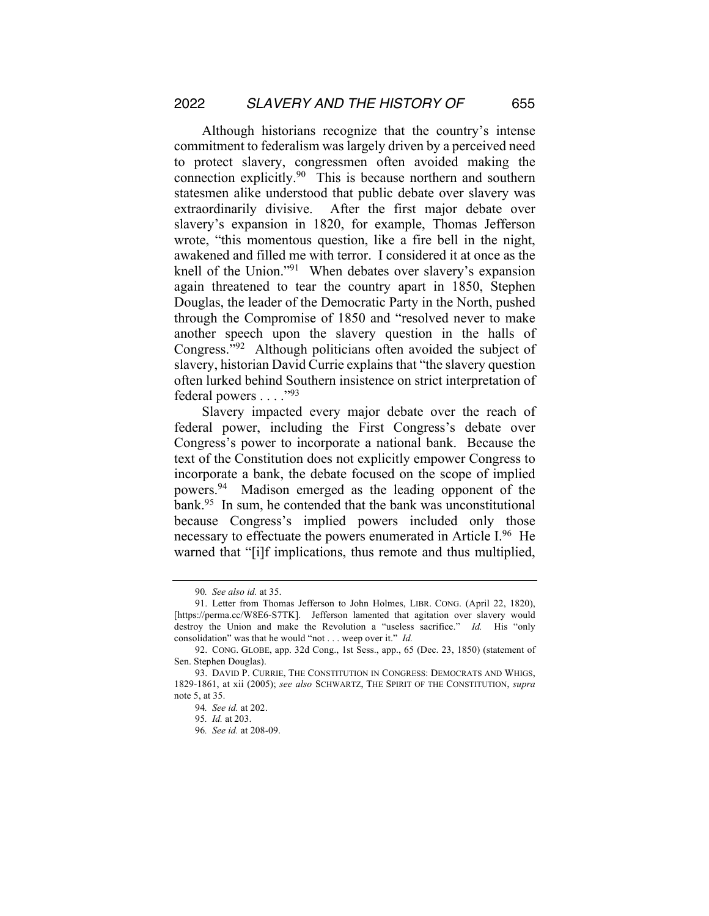Although historians recognize that the country's intense commitment to federalism was largely driven by a perceived need to protect slavery, congressmen often avoided making the connection explicitly.90 This is because northern and southern statesmen alike understood that public debate over slavery was extraordinarily divisive. After the first major debate over slavery's expansion in 1820, for example, Thomas Jefferson wrote, "this momentous question, like a fire bell in the night, awakened and filled me with terror. I considered it at once as the knell of the Union."91 When debates over slavery's expansion again threatened to tear the country apart in 1850, Stephen Douglas, the leader of the Democratic Party in the North, pushed through the Compromise of 1850 and "resolved never to make another speech upon the slavery question in the halls of Congress."92 Although politicians often avoided the subject of slavery, historian David Currie explains that "the slavery question often lurked behind Southern insistence on strict interpretation of federal powers . . . . "93"

Slavery impacted every major debate over the reach of federal power, including the First Congress's debate over Congress's power to incorporate a national bank. Because the text of the Constitution does not explicitly empower Congress to incorporate a bank, the debate focused on the scope of implied powers.94 Madison emerged as the leading opponent of the bank.95 In sum, he contended that the bank was unconstitutional because Congress's implied powers included only those necessary to effectuate the powers enumerated in Article I.<sup>96</sup> He warned that "[i]f implications, thus remote and thus multiplied,

<sup>90</sup>*. See also id.* at 35.

<sup>91.</sup> Letter from Thomas Jefferson to John Holmes, LIBR. CONG. (April 22, 1820), [https://perma.cc/W8E6-S7TK]. Jefferson lamented that agitation over slavery would destroy the Union and make the Revolution a "useless sacrifice." *Id.* His "only consolidation" was that he would "not . . . weep over it." *Id.*

<sup>92.</sup> CONG. GLOBE, app. 32d Cong., 1st Sess., app., 65 (Dec. 23, 1850) (statement of Sen. Stephen Douglas).

<sup>93.</sup> DAVID P. CURRIE, THE CONSTITUTION IN CONGRESS: DEMOCRATS AND WHIGS, 1829-1861, at xii (2005); *see also* SCHWARTZ, THE SPIRIT OF THE CONSTITUTION, *supra* note 5, at 35.

<sup>94</sup>*. See id.* at 202.

<sup>95</sup>*. Id.* at 203.

<sup>96</sup>*. See id.* at 208-09.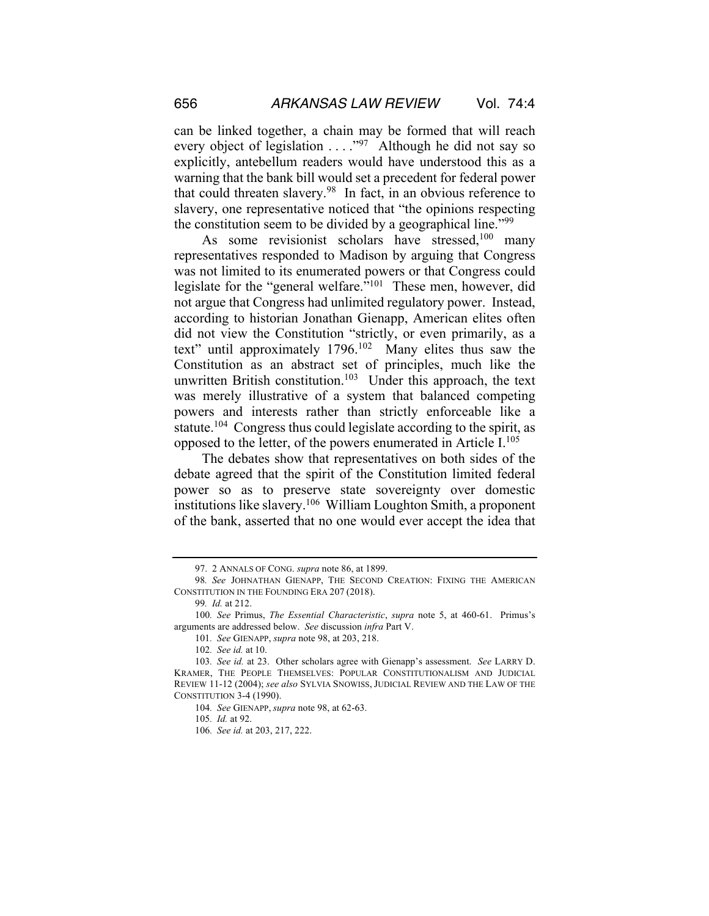can be linked together, a chain may be formed that will reach every object of legislation . . . . . . . . Although he did not say so explicitly, antebellum readers would have understood this as a warning that the bank bill would set a precedent for federal power that could threaten slavery.98 In fact, in an obvious reference to slavery, one representative noticed that "the opinions respecting the constitution seem to be divided by a geographical line."99

As some revisionist scholars have stressed,<sup>100</sup> many representatives responded to Madison by arguing that Congress was not limited to its enumerated powers or that Congress could legislate for the "general welfare."<sup>101</sup> These men, however, did not argue that Congress had unlimited regulatory power. Instead, according to historian Jonathan Gienapp, American elites often did not view the Constitution "strictly, or even primarily, as a text" until approximately 1796.102 Many elites thus saw the Constitution as an abstract set of principles, much like the unwritten British constitution.<sup>103</sup> Under this approach, the text was merely illustrative of a system that balanced competing powers and interests rather than strictly enforceable like a statute.104 Congress thus could legislate according to the spirit, as opposed to the letter, of the powers enumerated in Article I.105

The debates show that representatives on both sides of the debate agreed that the spirit of the Constitution limited federal power so as to preserve state sovereignty over domestic institutions like slavery.106 William Loughton Smith, a proponent of the bank, asserted that no one would ever accept the idea that

<sup>97.</sup> 2 ANNALS OF CONG. *supra* note 86, at 1899.

<sup>98</sup>*. See* JOHNATHAN GIENAPP, THE SECOND CREATION: FIXING THE AMERICAN CONSTITUTION IN THE FOUNDING ERA 207 (2018).

<sup>99</sup>*. Id.* at 212.

<sup>100</sup>*. See* Primus, *The Essential Characteristic*, *supra* note 5, at 460-61. Primus's arguments are addressed below. *See* discussion *infra* Part V.

<sup>101</sup>*. See* GIENAPP, *supra* note 98, at 203, 218.

<sup>102</sup>*. See id.* at 10.

<sup>103</sup>*. See id.* at 23. Other scholars agree with Gienapp's assessment. *See* LARRY D. KRAMER, THE PEOPLE THEMSELVES: POPULAR CONSTITUTIONALISM AND JUDICIAL REVIEW 11-12 (2004); *see also* SYLVIA SNOWISS, JUDICIAL REVIEW AND THE LAW OF THE CONSTITUTION 3-4 (1990).

<sup>104</sup>*. See* GIENAPP, *supra* note 98, at 62-63.

<sup>105</sup>*. Id.* at 92.

<sup>106</sup>*. See id.* at 203, 217, 222.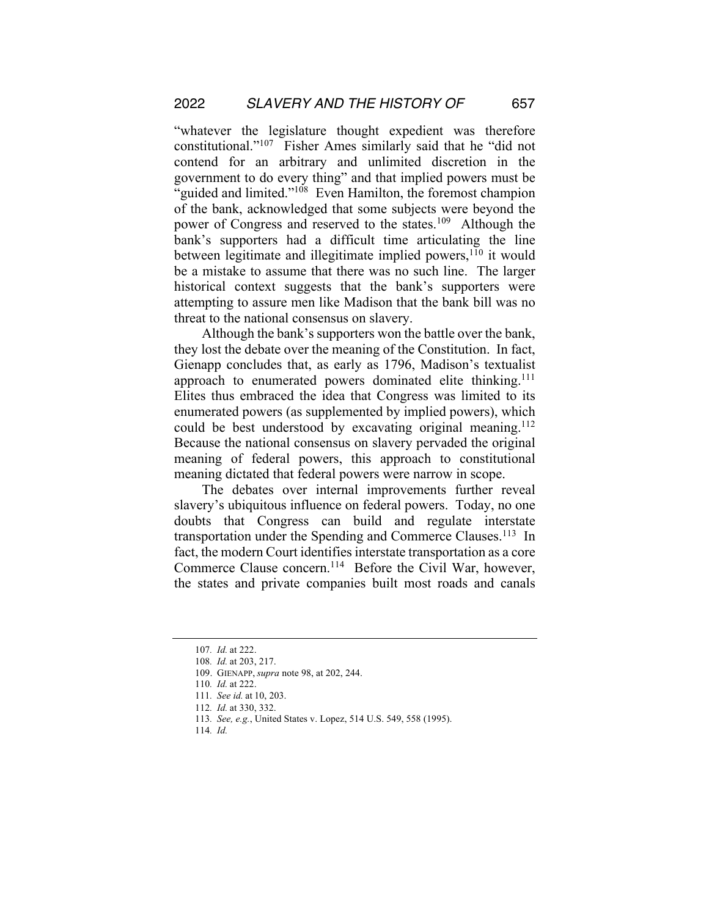"whatever the legislature thought expedient was therefore constitutional."107 Fisher Ames similarly said that he "did not contend for an arbitrary and unlimited discretion in the government to do every thing" and that implied powers must be "guided and limited."<sup>108</sup> Even Hamilton, the foremost champion of the bank, acknowledged that some subjects were beyond the power of Congress and reserved to the states.<sup>109</sup> Although the bank's supporters had a difficult time articulating the line between legitimate and illegitimate implied powers,<sup>110</sup> it would be a mistake to assume that there was no such line. The larger historical context suggests that the bank's supporters were attempting to assure men like Madison that the bank bill was no threat to the national consensus on slavery.

Although the bank's supporters won the battle over the bank, they lost the debate over the meaning of the Constitution. In fact, Gienapp concludes that, as early as 1796, Madison's textualist approach to enumerated powers dominated elite thinking.<sup>111</sup> Elites thus embraced the idea that Congress was limited to its enumerated powers (as supplemented by implied powers), which could be best understood by excavating original meaning.<sup>112</sup> Because the national consensus on slavery pervaded the original meaning of federal powers, this approach to constitutional meaning dictated that federal powers were narrow in scope.

The debates over internal improvements further reveal slavery's ubiquitous influence on federal powers. Today, no one doubts that Congress can build and regulate interstate transportation under the Spending and Commerce Clauses.<sup>113</sup> In fact, the modern Court identifies interstate transportation as a core Commerce Clause concern.<sup>114</sup> Before the Civil War, however, the states and private companies built most roads and canals

<sup>107</sup>*. Id.* at 222.

<sup>108</sup>*. Id.* at 203, 217.

<sup>109.</sup> GIENAPP, *supra* note 98, at 202, 244.

<sup>110</sup>*. Id.* at 222.

<sup>111</sup>*. See id.* at 10, 203.

<sup>112</sup>*. Id.* at 330, 332.

<sup>113</sup>*. See, e.g.*, United States v. Lopez, 514 U.S. 549, 558 (1995).

<sup>114</sup>*. Id.*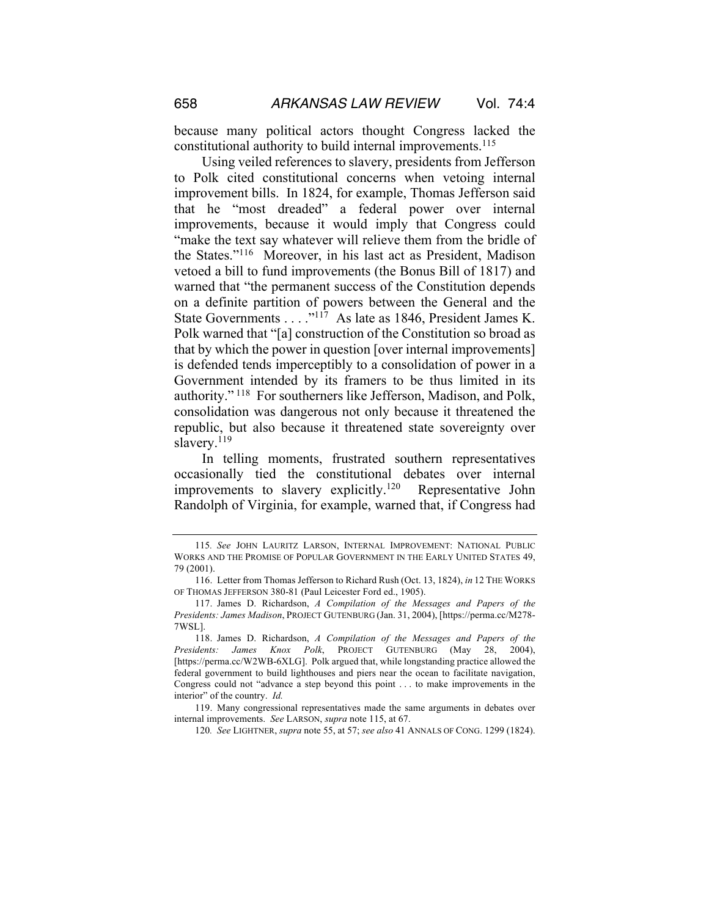because many political actors thought Congress lacked the constitutional authority to build internal improvements.<sup>115</sup>

Using veiled references to slavery, presidents from Jefferson to Polk cited constitutional concerns when vetoing internal improvement bills. In 1824, for example, Thomas Jefferson said that he "most dreaded" a federal power over internal improvements, because it would imply that Congress could "make the text say whatever will relieve them from the bridle of the States."116 Moreover, in his last act as President, Madison vetoed a bill to fund improvements (the Bonus Bill of 1817) and warned that "the permanent success of the Constitution depends on a definite partition of powers between the General and the State Governments . . . . "<sup>117</sup> As late as 1846, President James K. Polk warned that "[a] construction of the Constitution so broad as that by which the power in question [over internal improvements] is defended tends imperceptibly to a consolidation of power in a Government intended by its framers to be thus limited in its authority." 118 For southerners like Jefferson, Madison, and Polk, consolidation was dangerous not only because it threatened the republic, but also because it threatened state sovereignty over slavery. $119$ 

In telling moments, frustrated southern representatives occasionally tied the constitutional debates over internal improvements to slavery explicitly.<sup>120</sup> Representative John Randolph of Virginia, for example, warned that, if Congress had

120*. See* LIGHTNER, *supra* note 55, at 57; *see also* 41 ANNALS OF CONG. 1299 (1824).

<sup>115</sup>*. See* JOHN LAURITZ LARSON, INTERNAL IMPROVEMENT: NATIONAL PUBLIC WORKS AND THE PROMISE OF POPULAR GOVERNMENT IN THE EARLY UNITED STATES 49, 79 (2001).

<sup>116.</sup> Letter from Thomas Jefferson to Richard Rush (Oct. 13, 1824), *in* 12 THE WORKS OF THOMAS JEFFERSON 380-81 (Paul Leicester Ford ed., 1905).

<sup>117.</sup> James D. Richardson, *A Compilation of the Messages and Papers of the Presidents: James Madison*, PROJECT GUTENBURG (Jan. 31, 2004), [https://perma.cc/M278- 7WSL].

<sup>118.</sup> James D. Richardson, *A Compilation of the Messages and Papers of the Presidents: James Knox Polk*, PROJECT GUTENBURG (May 28, 2004), [https://perma.cc/W2WB-6XLG]. Polk argued that, while longstanding practice allowed the federal government to build lighthouses and piers near the ocean to facilitate navigation, Congress could not "advance a step beyond this point . . . to make improvements in the interior" of the country. *Id.*

<sup>119.</sup> Many congressional representatives made the same arguments in debates over internal improvements. *See* LARSON, *supra* note 115, at 67.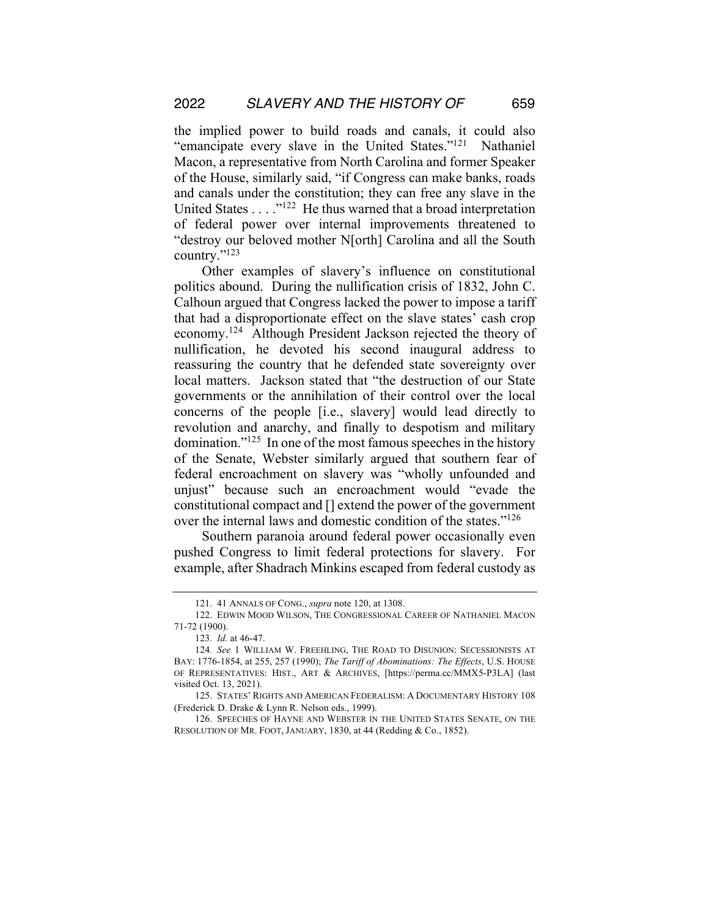the implied power to build roads and canals, it could also "emancipate every slave in the United States."<sup>121</sup> Nathaniel Macon, a representative from North Carolina and former Speaker of the House, similarly said, "if Congress can make banks, roads and canals under the constitution; they can free any slave in the United States . . . ."<sup>122</sup> He thus warned that a broad interpretation of federal power over internal improvements threatened to "destroy our beloved mother N[orth] Carolina and all the South country."123

Other examples of slavery's influence on constitutional politics abound. During the nullification crisis of 1832, John C. Calhoun argued that Congress lacked the power to impose a tariff that had a disproportionate effect on the slave states' cash crop economy.124 Although President Jackson rejected the theory of nullification, he devoted his second inaugural address to reassuring the country that he defended state sovereignty over local matters. Jackson stated that "the destruction of our State governments or the annihilation of their control over the local concerns of the people [i.e., slavery] would lead directly to revolution and anarchy, and finally to despotism and military domination."125 In one of the most famous speeches in the history of the Senate, Webster similarly argued that southern fear of federal encroachment on slavery was "wholly unfounded and unjust" because such an encroachment would "evade the constitutional compact and [] extend the power of the government over the internal laws and domestic condition of the states."126

Southern paranoia around federal power occasionally even pushed Congress to limit federal protections for slavery. For example, after Shadrach Minkins escaped from federal custody as

<sup>121.</sup> 41 ANNALS OF CONG., *supra* note 120, at 1308.

<sup>122.</sup> EDWIN MOOD WILSON, THE CONGRESSIONAL CAREER OF NATHANIEL MACON 71-72 (1900).

<sup>123</sup>*. Id.* at 46-47.

<sup>124</sup>*. See* 1 WILLIAM W. FREEHLING, THE ROAD TO DISUNION: SECESSIONISTS AT BAY: 1776-1854, at 255, 257 (1990); *The Tariff of Abominations: The Effects*, U.S. HOUSE OF REPRESENTATIVES: HIST., ART & ARCHIVES, [https://perma.cc/MMX5-P3LA] (last visited Oct. 13, 2021).

<sup>125.</sup> STATES' RIGHTS AND AMERICAN FEDERALISM: A DOCUMENTARY HISTORY 108 (Frederick D. Drake & Lynn R. Nelson eds., 1999).

<sup>126.</sup> SPEECHES OF HAYNE AND WEBSTER IN THE UNITED STATES SENATE, ON THE RESOLUTION OF MR. FOOT, JANUARY, 1830, at 44 (Redding & Co., 1852).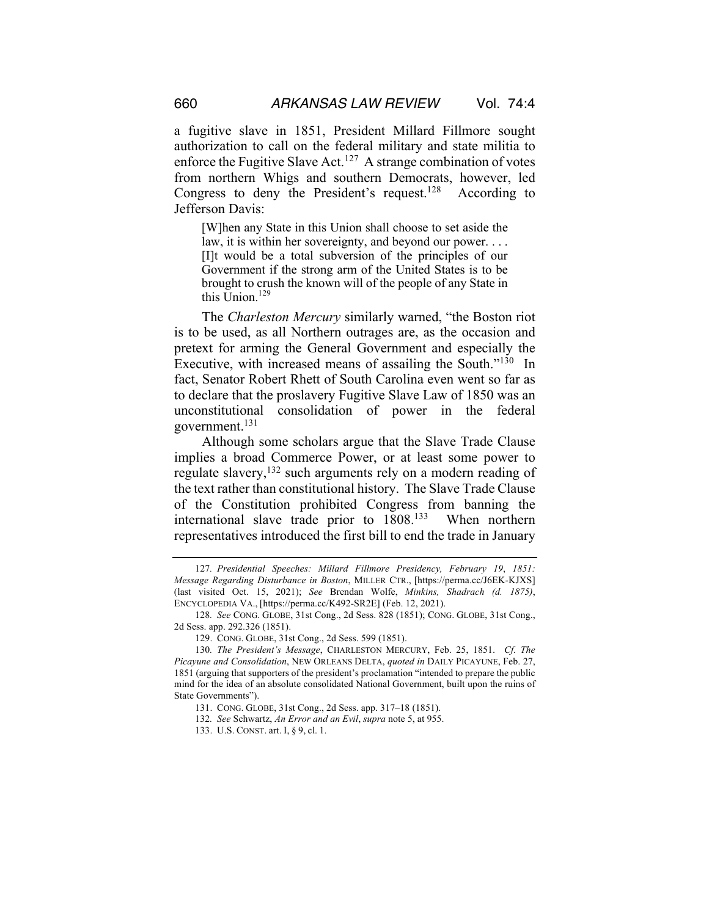a fugitive slave in 1851, President Millard Fillmore sought authorization to call on the federal military and state militia to enforce the Fugitive Slave Act.<sup>127</sup> A strange combination of votes from northern Whigs and southern Democrats, however, led Congress to deny the President's request.<sup>128</sup> According to Jefferson Davis:

[W]hen any State in this Union shall choose to set aside the law, it is within her sovereignty, and beyond our power. . . . [I]t would be a total subversion of the principles of our Government if the strong arm of the United States is to be brought to crush the known will of the people of any State in this Union.<sup>129</sup>

The *Charleston Mercury* similarly warned, "the Boston riot is to be used, as all Northern outrages are, as the occasion and pretext for arming the General Government and especially the Executive, with increased means of assailing the South."<sup>130</sup> In fact, Senator Robert Rhett of South Carolina even went so far as to declare that the proslavery Fugitive Slave Law of 1850 was an unconstitutional consolidation of power in the federal government.131

Although some scholars argue that the Slave Trade Clause implies a broad Commerce Power, or at least some power to regulate slavery,132 such arguments rely on a modern reading of the text rather than constitutional history. The Slave Trade Clause of the Constitution prohibited Congress from banning the international slave trade prior to 1808.<sup>133</sup> When northern representatives introduced the first bill to end the trade in January

<sup>127</sup>*. Presidential Speeches: Millard Fillmore Presidency, February 19*, *1851: Message Regarding Disturbance in Boston*, MILLER CTR., [https://perma.cc/J6EK-KJXS] (last visited Oct. 15, 2021); *See* Brendan Wolfe, *Minkins, Shadrach (d. 1875)*, ENCYCLOPEDIA VA., [https://perma.cc/K492-SR2E] (Feb. 12, 2021).

<sup>128</sup>*. See* CONG. GLOBE, 31st Cong., 2d Sess. 828 (1851); CONG. GLOBE, 31st Cong., 2d Sess. app. 292.326 (1851).

<sup>129.</sup> CONG. GLOBE, 31st Cong., 2d Sess. 599 (1851).

<sup>130</sup>*. The President's Message*, CHARLESTON MERCURY, Feb. 25, 1851. *Cf. The Picayune and Consolidation*, NEW ORLEANS DELTA, *quoted in* DAILY PICAYUNE, Feb. 27, 1851 (arguing that supporters of the president's proclamation "intended to prepare the public mind for the idea of an absolute consolidated National Government, built upon the ruins of State Governments").

<sup>131.</sup> CONG. GLOBE, 31st Cong., 2d Sess. app. 317–18 (1851).

<sup>132</sup>*. See* Schwartz, *An Error and an Evil*, *supra* note 5, at 955.

<sup>133.</sup> U.S. CONST. art. I, § 9, cl. 1.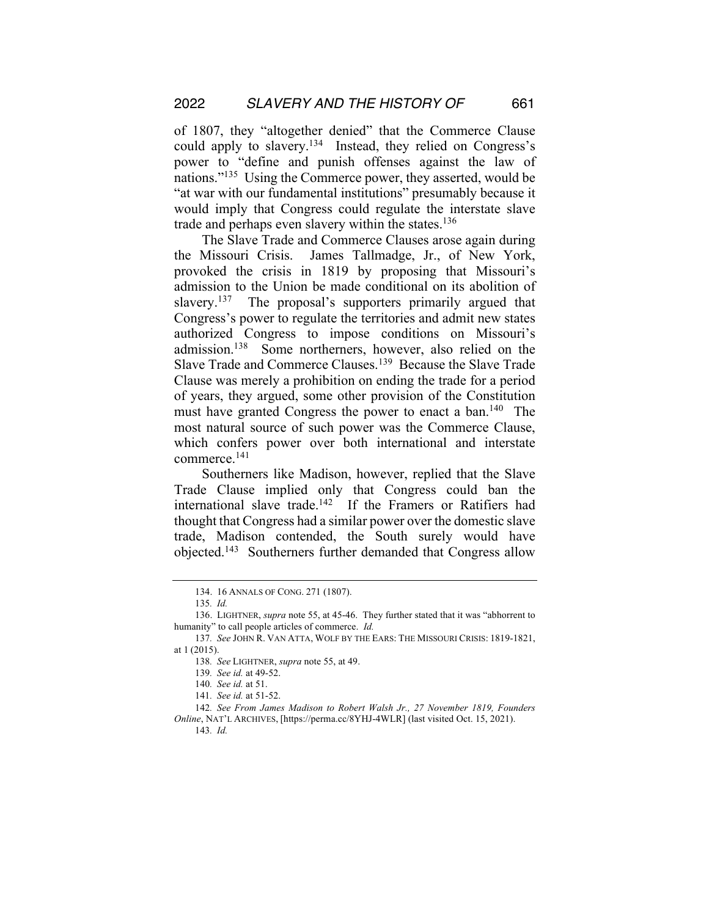of 1807, they "altogether denied" that the Commerce Clause could apply to slavery.134 Instead, they relied on Congress's power to "define and punish offenses against the law of nations."135 Using the Commerce power, they asserted, would be "at war with our fundamental institutions" presumably because it would imply that Congress could regulate the interstate slave trade and perhaps even slavery within the states.<sup>136</sup>

The Slave Trade and Commerce Clauses arose again during the Missouri Crisis. James Tallmadge, Jr., of New York, provoked the crisis in 1819 by proposing that Missouri's admission to the Union be made conditional on its abolition of slavery.<sup>137</sup> The proposal's supporters primarily argued that Congress's power to regulate the territories and admit new states authorized Congress to impose conditions on Missouri's admission.138 Some northerners, however, also relied on the Slave Trade and Commerce Clauses.139 Because the Slave Trade Clause was merely a prohibition on ending the trade for a period of years, they argued, some other provision of the Constitution must have granted Congress the power to enact a ban.<sup>140</sup> The most natural source of such power was the Commerce Clause, which confers power over both international and interstate commerce.141

Southerners like Madison, however, replied that the Slave Trade Clause implied only that Congress could ban the international slave trade.<sup>142</sup> If the Framers or Ratifiers had thought that Congress had a similar power over the domestic slave trade, Madison contended, the South surely would have objected.143 Southerners further demanded that Congress allow

<sup>134.</sup> 16 ANNALS OF CONG. 271 (1807).

<sup>135</sup>*. Id.*

<sup>136.</sup> LIGHTNER, *supra* note 55, at 45-46. They further stated that it was "abhorrent to humanity" to call people articles of commerce. *Id.*

<sup>137</sup>*. See* JOHN R. VAN ATTA, WOLF BY THE EARS: THE MISSOURI CRISIS: 1819-1821, at 1 (2015).

<sup>138</sup>*. See* LIGHTNER, *supra* note 55, at 49.

<sup>139</sup>*. See id.* at 49-52.

<sup>140</sup>*. See id.* at 51.

<sup>141</sup>*. See id.* at 51-52.

<sup>142</sup>*. See From James Madison to Robert Walsh Jr., 27 November 1819, Founders Online*, NAT'L ARCHIVES, [https://perma.cc/8YHJ-4WLR] (last visited Oct. 15, 2021). 143*. Id.*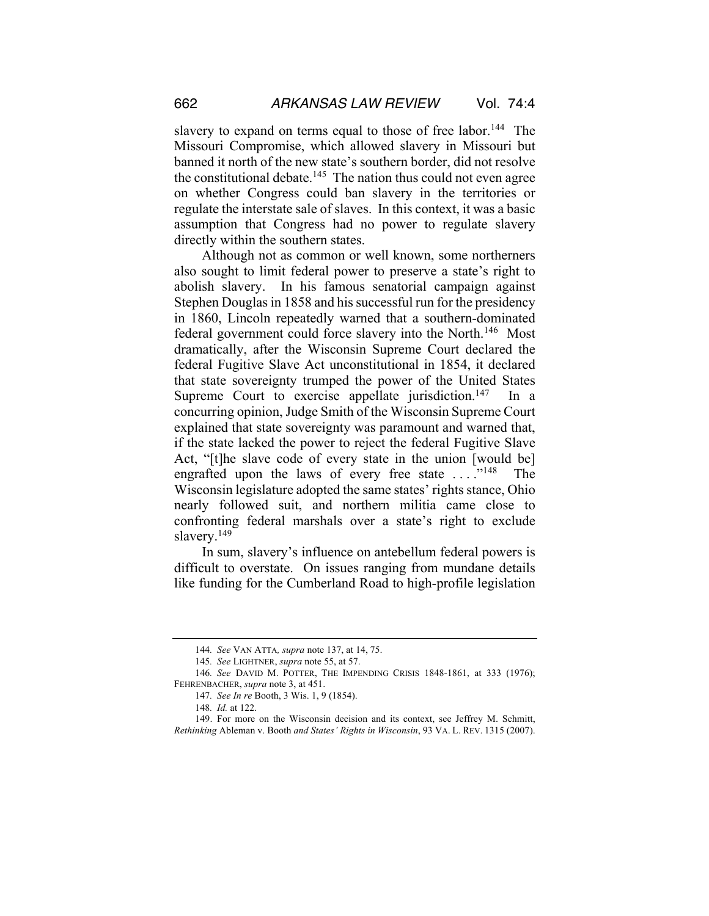slavery to expand on terms equal to those of free labor.<sup>144</sup> The Missouri Compromise, which allowed slavery in Missouri but banned it north of the new state's southern border, did not resolve the constitutional debate.<sup>145</sup> The nation thus could not even agree on whether Congress could ban slavery in the territories or regulate the interstate sale of slaves. In this context, it was a basic assumption that Congress had no power to regulate slavery directly within the southern states.

Although not as common or well known, some northerners also sought to limit federal power to preserve a state's right to abolish slavery. In his famous senatorial campaign against Stephen Douglas in 1858 and his successful run for the presidency in 1860, Lincoln repeatedly warned that a southern-dominated federal government could force slavery into the North.146 Most dramatically, after the Wisconsin Supreme Court declared the federal Fugitive Slave Act unconstitutional in 1854, it declared that state sovereignty trumped the power of the United States Supreme Court to exercise appellate jurisdiction.<sup>147</sup> In a concurring opinion, Judge Smith of the Wisconsin Supreme Court explained that state sovereignty was paramount and warned that, if the state lacked the power to reject the federal Fugitive Slave Act, "[t]he slave code of every state in the union [would be] engrafted upon the laws of every free state  $\dots$ ."<sup>148</sup> The Wisconsin legislature adopted the same states' rights stance, Ohio nearly followed suit, and northern militia came close to confronting federal marshals over a state's right to exclude slavery.<sup>149</sup>

In sum, slavery's influence on antebellum federal powers is difficult to overstate. On issues ranging from mundane details like funding for the Cumberland Road to high-profile legislation

<sup>144</sup>*. See* VAN ATTA*, supra* note 137, at 14, 75.

<sup>145</sup>*. See* LIGHTNER, *supra* note 55, at 57.

<sup>146</sup>*. See* DAVID M. POTTER, THE IMPENDING CRISIS 1848-1861, at 333 (1976); FEHRENBACHER, *supra* note 3, at 451.

<sup>147</sup>*. See In re* Booth, 3 Wis. 1, 9 (1854).

<sup>148</sup>*. Id.* at 122.

<sup>149.</sup> For more on the Wisconsin decision and its context, see Jeffrey M. Schmitt, *Rethinking* Ableman v. Booth *and States' Rights in Wisconsin*, 93 VA. L. REV. 1315 (2007).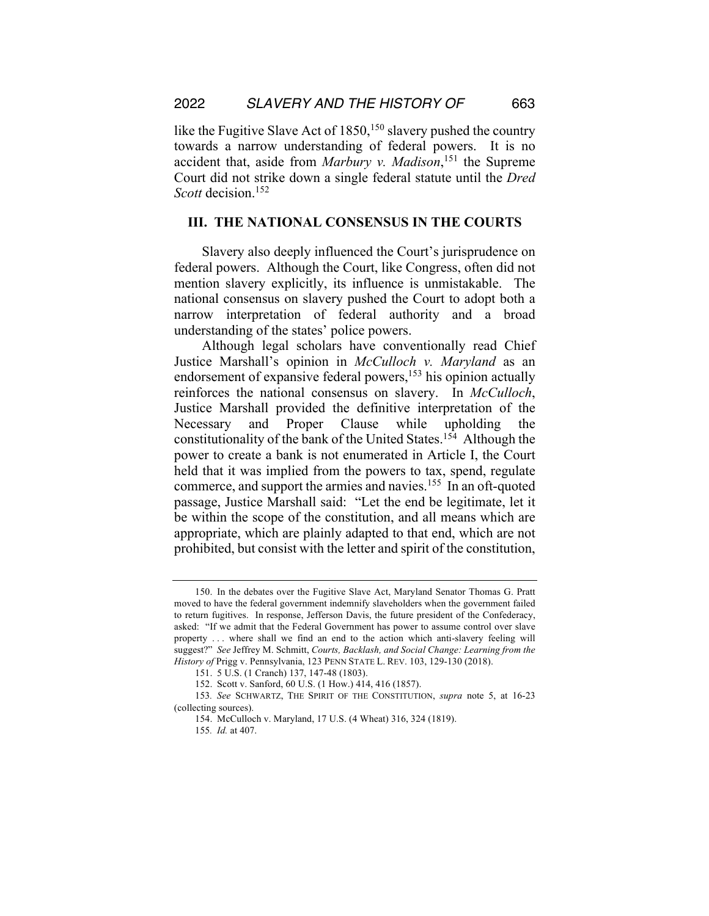like the Fugitive Slave Act of  $1850$ , <sup>150</sup> slavery pushed the country towards a narrow understanding of federal powers. It is no accident that, aside from *Marbury v. Madison*, <sup>151</sup> the Supreme Court did not strike down a single federal statute until the *Dred Scott* decision.152

### **III. THE NATIONAL CONSENSUS IN THE COURTS**

Slavery also deeply influenced the Court's jurisprudence on federal powers. Although the Court, like Congress, often did not mention slavery explicitly, its influence is unmistakable. The national consensus on slavery pushed the Court to adopt both a narrow interpretation of federal authority and a broad understanding of the states' police powers.

Although legal scholars have conventionally read Chief Justice Marshall's opinion in *McCulloch v. Maryland* as an endorsement of expansive federal powers,<sup>153</sup> his opinion actually reinforces the national consensus on slavery. In *McCulloch*, Justice Marshall provided the definitive interpretation of the Necessary and Proper Clause while upholding the constitutionality of the bank of the United States.154 Although the power to create a bank is not enumerated in Article I, the Court held that it was implied from the powers to tax, spend, regulate commerce, and support the armies and navies.<sup>155</sup> In an oft-quoted passage, Justice Marshall said: "Let the end be legitimate, let it be within the scope of the constitution, and all means which are appropriate, which are plainly adapted to that end, which are not prohibited, but consist with the letter and spirit of the constitution,

<sup>150.</sup> In the debates over the Fugitive Slave Act, Maryland Senator Thomas G. Pratt moved to have the federal government indemnify slaveholders when the government failed to return fugitives. In response, Jefferson Davis, the future president of the Confederacy, asked: "If we admit that the Federal Government has power to assume control over slave property . . . where shall we find an end to the action which anti-slavery feeling will suggest?" *See* Jeffrey M. Schmitt, *Courts, Backlash, and Social Change: Learning from the History of* Prigg v. Pennsylvania, 123 PENN STATE L. REV. 103, 129-130 (2018).

<sup>151.</sup> 5 U.S. (1 Cranch) 137, 147-48 (1803).

<sup>152.</sup> Scott v. Sanford, 60 U.S. (1 How.) 414, 416 (1857).

<sup>153</sup>*. See* SCHWARTZ, THE SPIRIT OF THE CONSTITUTION, *supra* note 5, at 16-23 (collecting sources).

<sup>154.</sup> McCulloch v. Maryland, 17 U.S. (4 Wheat) 316, 324 (1819).

<sup>155</sup>*. Id.* at 407.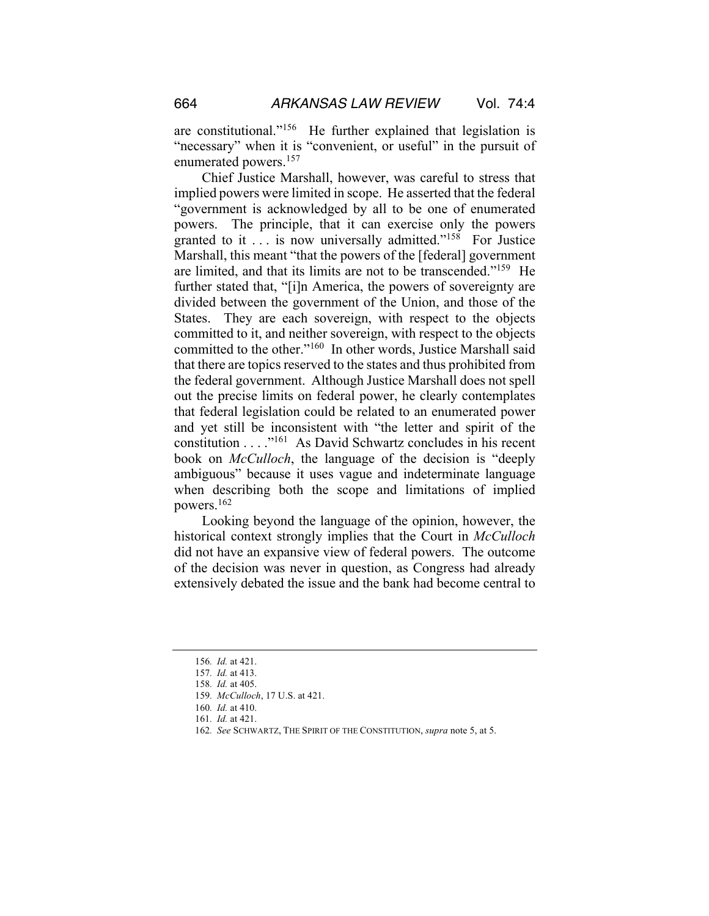are constitutional."156 He further explained that legislation is "necessary" when it is "convenient, or useful" in the pursuit of enumerated powers.157

Chief Justice Marshall, however, was careful to stress that implied powers were limited in scope. He asserted that the federal "government is acknowledged by all to be one of enumerated powers. The principle, that it can exercise only the powers granted to it . . . is now universally admitted."158 For Justice Marshall, this meant "that the powers of the [federal] government are limited, and that its limits are not to be transcended."159 He further stated that, "[i]n America, the powers of sovereignty are divided between the government of the Union, and those of the States. They are each sovereign, with respect to the objects committed to it, and neither sovereign, with respect to the objects committed to the other."160 In other words, Justice Marshall said that there are topics reserved to the states and thus prohibited from the federal government. Although Justice Marshall does not spell out the precise limits on federal power, he clearly contemplates that federal legislation could be related to an enumerated power and yet still be inconsistent with "the letter and spirit of the constitution . . . ."161 As David Schwartz concludes in his recent book on *McCulloch*, the language of the decision is "deeply ambiguous" because it uses vague and indeterminate language when describing both the scope and limitations of implied powers.162

Looking beyond the language of the opinion, however, the historical context strongly implies that the Court in *McCulloch* did not have an expansive view of federal powers. The outcome of the decision was never in question, as Congress had already extensively debated the issue and the bank had become central to

<sup>156</sup>*. Id.* at 421.

<sup>157</sup>*. Id.* at 413.

<sup>158</sup>*. Id.* at 405.

<sup>159</sup>*. McCulloch*, 17 U.S. at 421.

<sup>160</sup>*. Id.* at 410.

<sup>161</sup>*. Id.* at 421.

<sup>162</sup>*. See* SCHWARTZ, THE SPIRIT OF THE CONSTITUTION, *supra* note 5, at 5.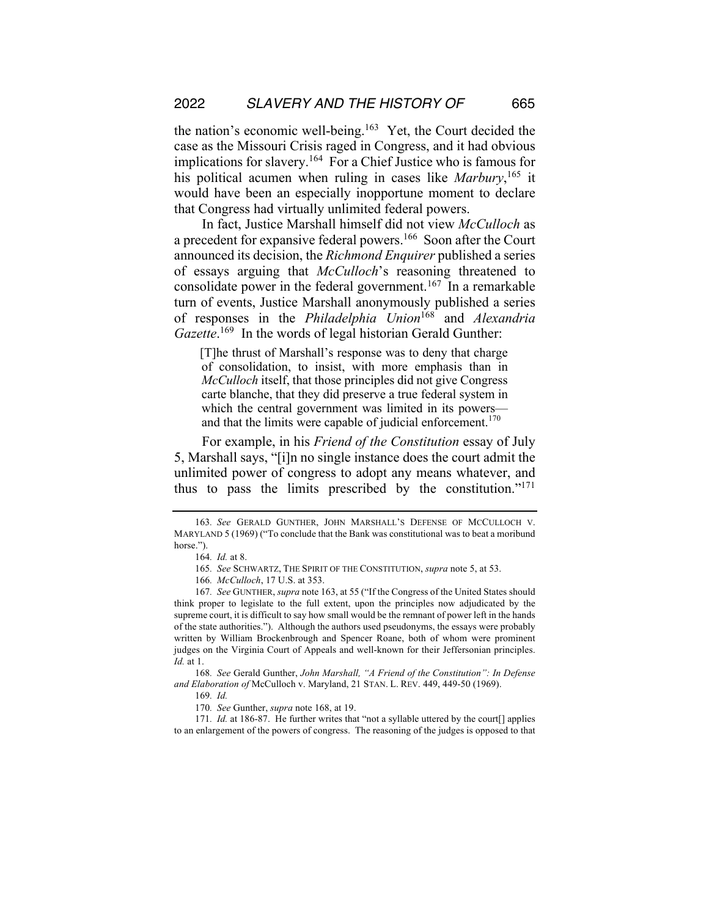the nation's economic well-being.163 Yet, the Court decided the case as the Missouri Crisis raged in Congress, and it had obvious implications for slavery.<sup>164</sup> For a Chief Justice who is famous for his political acumen when ruling in cases like *Marbury*, <sup>165</sup> it would have been an especially inopportune moment to declare that Congress had virtually unlimited federal powers.

In fact, Justice Marshall himself did not view *McCulloch* as a precedent for expansive federal powers.<sup>166</sup> Soon after the Court announced its decision, the *Richmond Enquirer* published a series of essays arguing that *McCulloch*'s reasoning threatened to consolidate power in the federal government.<sup>167</sup> In a remarkable turn of events, Justice Marshall anonymously published a series of responses in the *Philadelphia Union*<sup>168</sup> and *Alexandria*  Gazette.<sup>169</sup> In the words of legal historian Gerald Gunther:

[T]he thrust of Marshall's response was to deny that charge of consolidation, to insist, with more emphasis than in *McCulloch* itself, that those principles did not give Congress carte blanche, that they did preserve a true federal system in which the central government was limited in its powers and that the limits were capable of judicial enforcement.<sup>170</sup>

For example, in his *Friend of the Constitution* essay of July 5, Marshall says, "[i]n no single instance does the court admit the unlimited power of congress to adopt any means whatever, and thus to pass the limits prescribed by the constitution."<sup>171</sup>

168*. See* Gerald Gunther, *John Marshall, "A Friend of the Constitution": In Defense and Elaboration of* McCulloch v. Maryland, 21 STAN. L. REV. 449, 449-50 (1969).

171*. Id.* at 186-87. He further writes that "not a syllable uttered by the court[] applies to an enlargement of the powers of congress. The reasoning of the judges is opposed to that

<sup>163</sup>*. See* GERALD GUNTHER, JOHN MARSHALL'S DEFENSE OF MCCULLOCH V. MARYLAND 5 (1969) ("To conclude that the Bank was constitutional was to beat a moribund horse.").

<sup>164</sup>*. Id.* at 8.

<sup>165</sup>*. See* SCHWARTZ, THE SPIRIT OF THE CONSTITUTION, *supra* note 5, at 53.

<sup>166</sup>*. McCulloch*, 17 U.S. at 353.

<sup>167</sup>*. See* GUNTHER, *supra* note 163, at 55 ("If the Congress of the United States should think proper to legislate to the full extent, upon the principles now adjudicated by the supreme court, it is difficult to say how small would be the remnant of power left in the hands of the state authorities."). Although the authors used pseudonyms, the essays were probably written by William Brockenbrough and Spencer Roane, both of whom were prominent judges on the Virginia Court of Appeals and well-known for their Jeffersonian principles. *Id.* at 1.

<sup>169</sup>*. Id.*

<sup>170</sup>*. See* Gunther, *supra* note 168, at 19.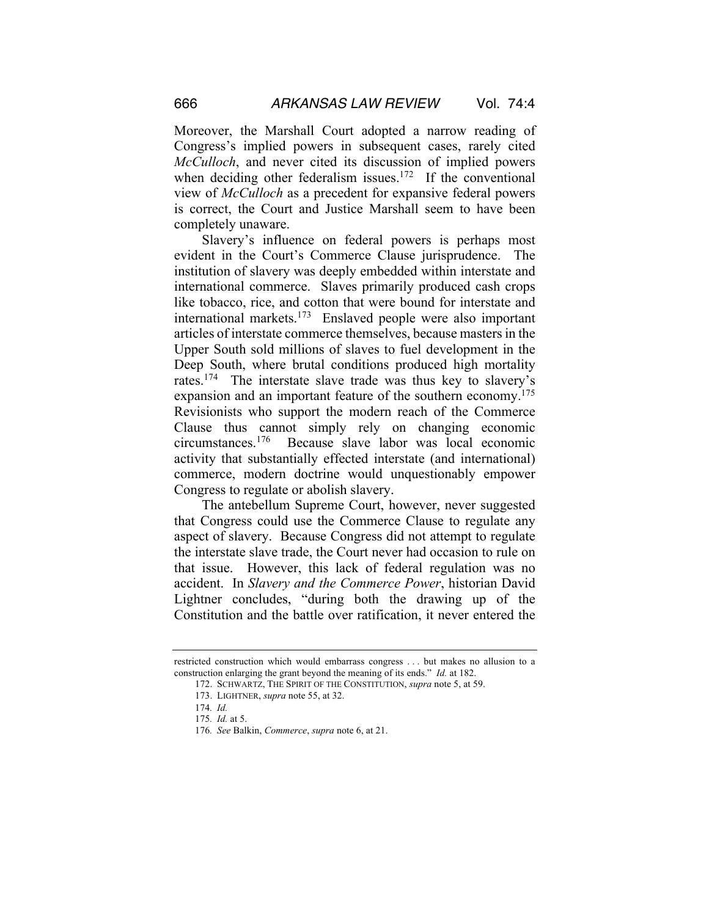Moreover, the Marshall Court adopted a narrow reading of Congress's implied powers in subsequent cases, rarely cited *McCulloch*, and never cited its discussion of implied powers when deciding other federalism issues.<sup>172</sup> If the conventional view of *McCulloch* as a precedent for expansive federal powers is correct, the Court and Justice Marshall seem to have been completely unaware.

Slavery's influence on federal powers is perhaps most evident in the Court's Commerce Clause jurisprudence. The institution of slavery was deeply embedded within interstate and international commerce. Slaves primarily produced cash crops like tobacco, rice, and cotton that were bound for interstate and international markets.173 Enslaved people were also important articles of interstate commerce themselves, because masters in the Upper South sold millions of slaves to fuel development in the Deep South, where brutal conditions produced high mortality rates.174 The interstate slave trade was thus key to slavery's expansion and an important feature of the southern economy.<sup>175</sup> Revisionists who support the modern reach of the Commerce Clause thus cannot simply rely on changing economic circumstances.176 Because slave labor was local economic activity that substantially effected interstate (and international) commerce, modern doctrine would unquestionably empower Congress to regulate or abolish slavery.

The antebellum Supreme Court, however, never suggested that Congress could use the Commerce Clause to regulate any aspect of slavery. Because Congress did not attempt to regulate the interstate slave trade, the Court never had occasion to rule on that issue. However, this lack of federal regulation was no accident. In *Slavery and the Commerce Power*, historian David Lightner concludes, "during both the drawing up of the Constitution and the battle over ratification, it never entered the

restricted construction which would embarrass congress . . . but makes no allusion to a construction enlarging the grant beyond the meaning of its ends." *Id.* at 182.

<sup>172.</sup> SCHWARTZ, THE SPIRIT OF THE CONSTITUTION, *supra* note 5, at 59.

<sup>173.</sup> LIGHTNER, *supra* note 55, at 32.

<sup>174</sup>*. Id.*

<sup>175</sup>*. Id.* at 5.

<sup>176</sup>*. See* Balkin, *Commerce*, *supra* note 6, at 21.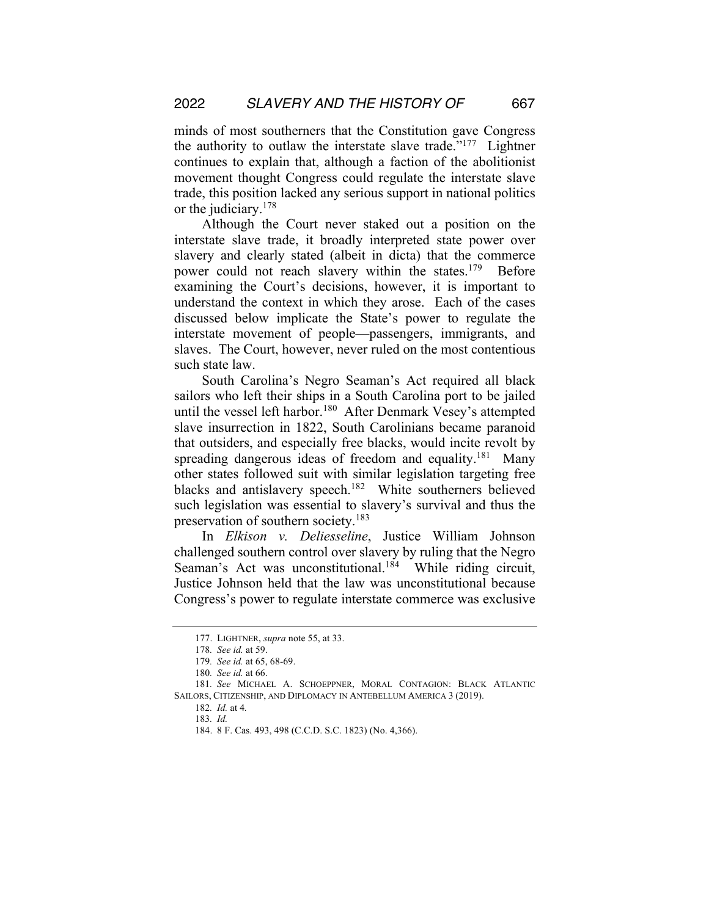minds of most southerners that the Constitution gave Congress the authority to outlaw the interstate slave trade."177 Lightner continues to explain that, although a faction of the abolitionist movement thought Congress could regulate the interstate slave trade, this position lacked any serious support in national politics or the judiciary.178

Although the Court never staked out a position on the interstate slave trade, it broadly interpreted state power over slavery and clearly stated (albeit in dicta) that the commerce power could not reach slavery within the states.<sup>179</sup> Before examining the Court's decisions, however, it is important to understand the context in which they arose. Each of the cases discussed below implicate the State's power to regulate the interstate movement of people—passengers, immigrants, and slaves. The Court, however, never ruled on the most contentious such state law.

South Carolina's Negro Seaman's Act required all black sailors who left their ships in a South Carolina port to be jailed until the vessel left harbor.<sup>180</sup> After Denmark Vesey's attempted slave insurrection in 1822, South Carolinians became paranoid that outsiders, and especially free blacks, would incite revolt by spreading dangerous ideas of freedom and equality.<sup>181</sup> Many other states followed suit with similar legislation targeting free blacks and antislavery speech.<sup>182</sup> White southerners believed such legislation was essential to slavery's survival and thus the preservation of southern society.<sup>183</sup>

In *Elkison v. Deliesseline*, Justice William Johnson challenged southern control over slavery by ruling that the Negro Seaman's Act was unconstitutional.<sup>184</sup> While riding circuit, Justice Johnson held that the law was unconstitutional because Congress's power to regulate interstate commerce was exclusive

<sup>177.</sup> LIGHTNER, *supra* note 55, at 33.

<sup>178</sup>*. See id.* at 59.

<sup>179</sup>*. See id.* at 65, 68-69.

<sup>180</sup>*. See id.* at 66.

<sup>181</sup>*. See* MICHAEL A. SCHOEPPNER, MORAL CONTAGION: BLACK ATLANTIC SAILORS, CITIZENSHIP, AND DIPLOMACY IN ANTEBELLUM AMERICA 3 (2019).

<sup>182</sup>*. Id.* at 4*.* 

<sup>183</sup>*. Id.*

<sup>184.</sup> 8 F. Cas. 493, 498 (C.C.D. S.C. 1823) (No. 4,366).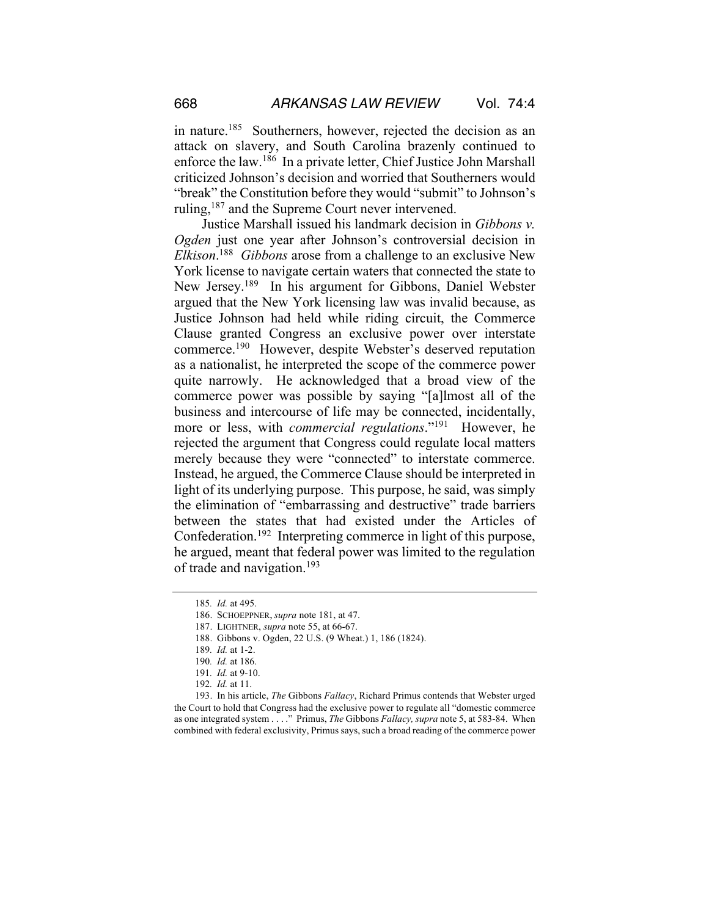in nature.<sup>185</sup> Southerners, however, rejected the decision as an attack on slavery, and South Carolina brazenly continued to enforce the law.186 In a private letter, Chief Justice John Marshall criticized Johnson's decision and worried that Southerners would "break" the Constitution before they would "submit" to Johnson's ruling,<sup>187</sup> and the Supreme Court never intervened.

Justice Marshall issued his landmark decision in *Gibbons v. Ogden* just one year after Johnson's controversial decision in *Elkison*. 188 *Gibbons* arose from a challenge to an exclusive New York license to navigate certain waters that connected the state to New Jersey.189 In his argument for Gibbons, Daniel Webster argued that the New York licensing law was invalid because, as Justice Johnson had held while riding circuit, the Commerce Clause granted Congress an exclusive power over interstate commerce.190 However, despite Webster's deserved reputation as a nationalist, he interpreted the scope of the commerce power quite narrowly. He acknowledged that a broad view of the commerce power was possible by saying "[a]lmost all of the business and intercourse of life may be connected, incidentally, more or less, with *commercial regulations*."191 However, he rejected the argument that Congress could regulate local matters merely because they were "connected" to interstate commerce. Instead, he argued, the Commerce Clause should be interpreted in light of its underlying purpose. This purpose, he said, was simply the elimination of "embarrassing and destructive" trade barriers between the states that had existed under the Articles of Confederation.192 Interpreting commerce in light of this purpose, he argued, meant that federal power was limited to the regulation of trade and navigation.<sup>193</sup>

<sup>185</sup>*. Id.* at 495.

<sup>186.</sup> SCHOEPPNER, *supra* note 181, at 47.

<sup>187.</sup> LIGHTNER, *supra* note 55, at 66-67.

<sup>188.</sup> Gibbons v. Ogden, 22 U.S. (9 Wheat.) 1, 186 (1824).

<sup>189</sup>*. Id.* at 1-2.

<sup>190</sup>*. Id.* at 186.

<sup>191</sup>*. Id.* at 9-10.

<sup>192</sup>*. Id.* at 11.

<sup>193.</sup> In his article, *The* Gibbons *Fallacy*, Richard Primus contends that Webster urged the Court to hold that Congress had the exclusive power to regulate all "domestic commerce as one integrated system . . . ." Primus, *The* Gibbons *Fallacy, supra* note 5, at 583-84. When combined with federal exclusivity, Primus says, such a broad reading of the commerce power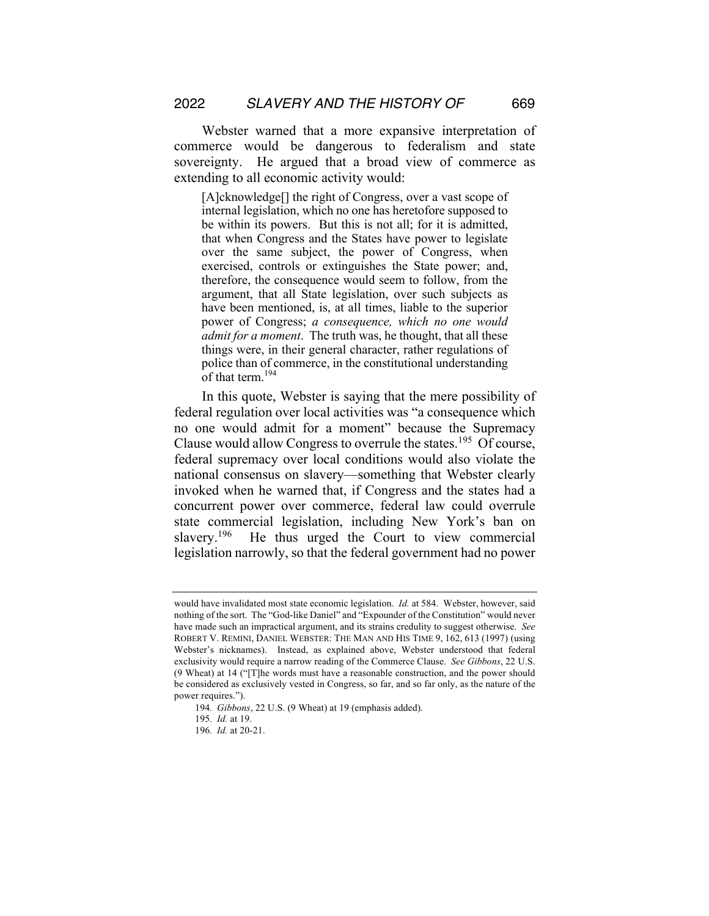Webster warned that a more expansive interpretation of commerce would be dangerous to federalism and state sovereignty. He argued that a broad view of commerce as extending to all economic activity would:

[A]cknowledge[] the right of Congress, over a vast scope of internal legislation, which no one has heretofore supposed to be within its powers. But this is not all; for it is admitted, that when Congress and the States have power to legislate over the same subject, the power of Congress, when exercised, controls or extinguishes the State power; and, therefore, the consequence would seem to follow, from the argument, that all State legislation, over such subjects as have been mentioned, is, at all times, liable to the superior power of Congress; *a consequence, which no one would admit for a moment*. The truth was, he thought, that all these things were, in their general character, rather regulations of police than of commerce, in the constitutional understanding of that term.<sup>194</sup>

In this quote, Webster is saying that the mere possibility of federal regulation over local activities was "a consequence which no one would admit for a moment" because the Supremacy Clause would allow Congress to overrule the states.195 Of course, federal supremacy over local conditions would also violate the national consensus on slavery—something that Webster clearly invoked when he warned that, if Congress and the states had a concurrent power over commerce, federal law could overrule state commercial legislation, including New York's ban on slavery.<sup>196</sup> He thus urged the Court to view commercial legislation narrowly, so that the federal government had no power

would have invalidated most state economic legislation. *Id.* at 584. Webster, however, said nothing of the sort. The "God-like Daniel" and "Expounder of the Constitution" would never have made such an impractical argument, and its strains credulity to suggest otherwise. *See* ROBERT V. REMINI, DANIEL WEBSTER: THE MAN AND HIS TIME 9, 162, 613 (1997) (using Webster's nicknames). Instead, as explained above, Webster understood that federal exclusivity would require a narrow reading of the Commerce Clause. *See Gibbons*, 22 U.S. (9 Wheat) at 14 ("[T]he words must have a reasonable construction, and the power should be considered as exclusively vested in Congress, so far, and so far only, as the nature of the power requires.").

<sup>194</sup>*. Gibbons*, 22 U.S. (9 Wheat) at 19 (emphasis added).

<sup>195</sup>*. Id.* at 19.

<sup>196</sup>*. Id.* at 20-21.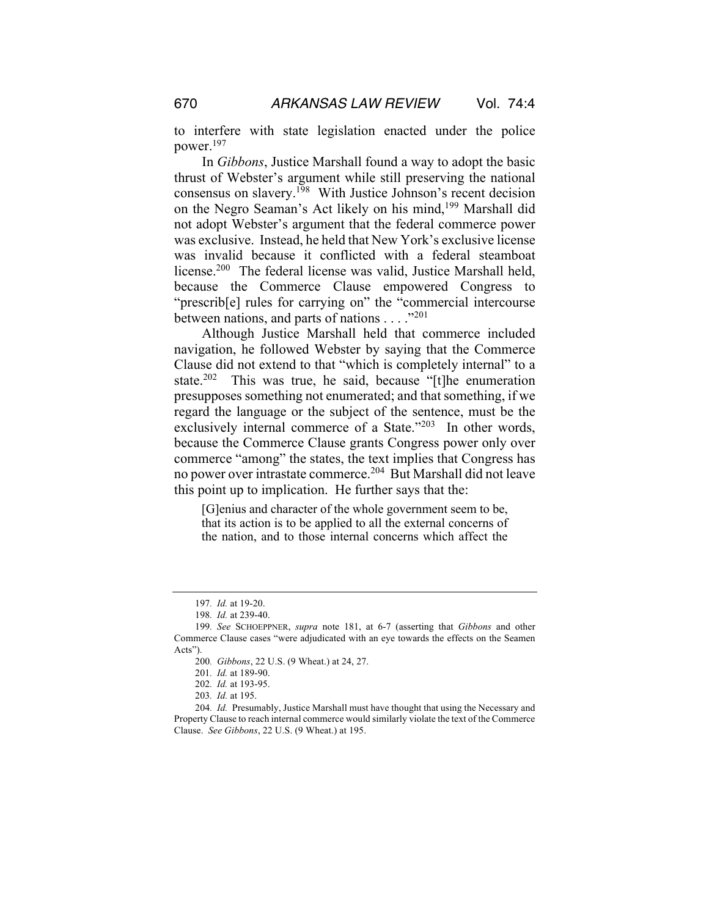to interfere with state legislation enacted under the police power.197

In *Gibbons*, Justice Marshall found a way to adopt the basic thrust of Webster's argument while still preserving the national consensus on slavery.198 With Justice Johnson's recent decision on the Negro Seaman's Act likely on his mind,<sup>199</sup> Marshall did not adopt Webster's argument that the federal commerce power was exclusive. Instead, he held that New York's exclusive license was invalid because it conflicted with a federal steamboat license.200 The federal license was valid, Justice Marshall held, because the Commerce Clause empowered Congress to "prescrib[e] rules for carrying on" the "commercial intercourse between nations, and parts of nations . . . ."<sup>201</sup>

Although Justice Marshall held that commerce included navigation, he followed Webster by saying that the Commerce Clause did not extend to that "which is completely internal" to a state.<sup>202</sup> This was true, he said, because "[t]he enumeration presupposes something not enumerated; and that something, if we regard the language or the subject of the sentence, must be the exclusively internal commerce of a State."<sup>203</sup> In other words, because the Commerce Clause grants Congress power only over commerce "among" the states, the text implies that Congress has no power over intrastate commerce.204 But Marshall did not leave this point up to implication. He further says that the:

[G]enius and character of the whole government seem to be, that its action is to be applied to all the external concerns of the nation, and to those internal concerns which affect the

<sup>197</sup>*. Id.* at 19-20.

<sup>198</sup>*. Id.* at 239-40.

<sup>199</sup>*. See* SCHOEPPNER, *supra* note 181, at 6-7 (asserting that *Gibbons* and other Commerce Clause cases "were adjudicated with an eye towards the effects on the Seamen Acts").

<sup>200</sup>*. Gibbons*, 22 U.S. (9 Wheat.) at 24, 27.

<sup>201</sup>*. Id.* at 189-90.

<sup>202</sup>*. Id.* at 193-95.

<sup>203</sup>*. Id.* at 195.

<sup>204</sup>*. Id.* Presumably, Justice Marshall must have thought that using the Necessary and Property Clause to reach internal commerce would similarly violate the text of the Commerce Clause. *See Gibbons*, 22 U.S. (9 Wheat.) at 195.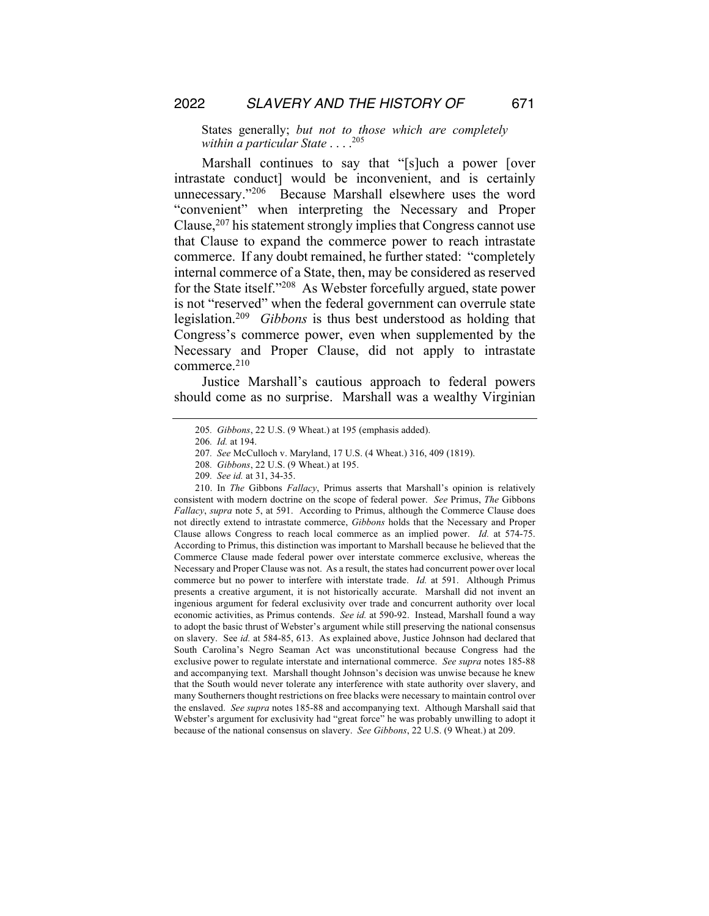States generally; *but not to those which are completely within a particular State* . . . . 205

Marshall continues to say that "[s]uch a power [over intrastate conduct] would be inconvenient, and is certainly unnecessary."206 Because Marshall elsewhere uses the word "convenient" when interpreting the Necessary and Proper Clause,  $207$  his statement strongly implies that Congress cannot use that Clause to expand the commerce power to reach intrastate commerce. If any doubt remained, he further stated: "completely internal commerce of a State, then, may be considered as reserved for the State itself."208 As Webster forcefully argued, state power is not "reserved" when the federal government can overrule state legislation.209 *Gibbons* is thus best understood as holding that Congress's commerce power, even when supplemented by the Necessary and Proper Clause, did not apply to intrastate commerce.<sup>210</sup>

Justice Marshall's cautious approach to federal powers should come as no surprise. Marshall was a wealthy Virginian

<sup>205</sup>*. Gibbons*, 22 U.S. (9 Wheat.) at 195 (emphasis added).

<sup>206</sup>*. Id.* at 194.

<sup>207</sup>*. See* McCulloch v. Maryland, 17 U.S. (4 Wheat.) 316, 409 (1819).

<sup>208</sup>*. Gibbons*, 22 U.S. (9 Wheat.) at 195.

<sup>209</sup>*. See id.* at 31, 34-35.

<sup>210.</sup> In *The* Gibbons *Fallacy*, Primus asserts that Marshall's opinion is relatively consistent with modern doctrine on the scope of federal power. *See* Primus, *The* Gibbons *Fallacy*, *supra* note 5, at 591. According to Primus, although the Commerce Clause does not directly extend to intrastate commerce, *Gibbons* holds that the Necessary and Proper Clause allows Congress to reach local commerce as an implied power. *Id.* at 574-75. According to Primus, this distinction was important to Marshall because he believed that the Commerce Clause made federal power over interstate commerce exclusive, whereas the Necessary and Proper Clause was not. As a result, the states had concurrent power over local commerce but no power to interfere with interstate trade. *Id.* at 591. Although Primus presents a creative argument, it is not historically accurate. Marshall did not invent an ingenious argument for federal exclusivity over trade and concurrent authority over local economic activities, as Primus contends. *See id.* at 590-92. Instead, Marshall found a way to adopt the basic thrust of Webster's argument while still preserving the national consensus on slavery. See *id.* at 584-85, 613. As explained above, Justice Johnson had declared that South Carolina's Negro Seaman Act was unconstitutional because Congress had the exclusive power to regulate interstate and international commerce. *See supra* notes 185-88 and accompanying text. Marshall thought Johnson's decision was unwise because he knew that the South would never tolerate any interference with state authority over slavery, and many Southerners thought restrictions on free blacks were necessary to maintain control over the enslaved. *See supra* notes 185-88 and accompanying text. Although Marshall said that Webster's argument for exclusivity had "great force" he was probably unwilling to adopt it because of the national consensus on slavery. *See Gibbons*, 22 U.S. (9 Wheat.) at 209.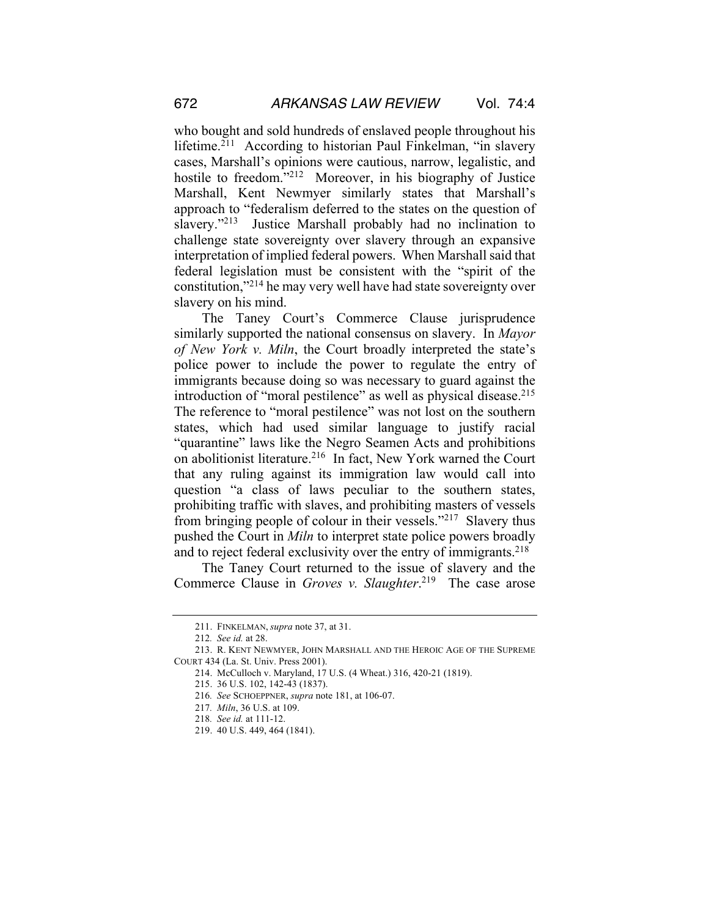who bought and sold hundreds of enslaved people throughout his lifetime.<sup>211</sup> According to historian Paul Finkelman, "in slavery cases, Marshall's opinions were cautious, narrow, legalistic, and hostile to freedom."<sup>212</sup> Moreover, in his biography of Justice Marshall, Kent Newmyer similarly states that Marshall's approach to "federalism deferred to the states on the question of slavery."<sup>213</sup> Justice Marshall probably had no inclination to challenge state sovereignty over slavery through an expansive interpretation of implied federal powers. When Marshall said that federal legislation must be consistent with the "spirit of the constitution,"214 he may very well have had state sovereignty over slavery on his mind.

The Taney Court's Commerce Clause jurisprudence similarly supported the national consensus on slavery. In *Mayor of New York v. Miln*, the Court broadly interpreted the state's police power to include the power to regulate the entry of immigrants because doing so was necessary to guard against the introduction of "moral pestilence" as well as physical disease.<sup>215</sup> The reference to "moral pestilence" was not lost on the southern states, which had used similar language to justify racial "quarantine" laws like the Negro Seamen Acts and prohibitions on abolitionist literature.216 In fact, New York warned the Court that any ruling against its immigration law would call into question "a class of laws peculiar to the southern states, prohibiting traffic with slaves, and prohibiting masters of vessels from bringing people of colour in their vessels."217 Slavery thus pushed the Court in *Miln* to interpret state police powers broadly and to reject federal exclusivity over the entry of immigrants.<sup>218</sup>

The Taney Court returned to the issue of slavery and the Commerce Clause in *Groves v. Slaughter*. 219 The case arose

<sup>211.</sup> FINKELMAN, *supra* note 37, at 31.

<sup>212</sup>*. See id.* at 28.

<sup>213.</sup> R. KENT NEWMYER, JOHN MARSHALL AND THE HEROIC AGE OF THE SUPREME COURT 434 (La. St. Univ. Press 2001).

<sup>214.</sup> McCulloch v. Maryland, 17 U.S. (4 Wheat.) 316, 420-21 (1819).

<sup>215.</sup> 36 U.S. 102, 142-43 (1837).

<sup>216</sup>*. See* SCHOEPPNER, *supra* note 181, at 106-07.

<sup>217</sup>*. Miln*, 36 U.S. at 109.

<sup>218</sup>*. See id.* at 111-12.

<sup>219.</sup> 40 U.S. 449, 464 (1841).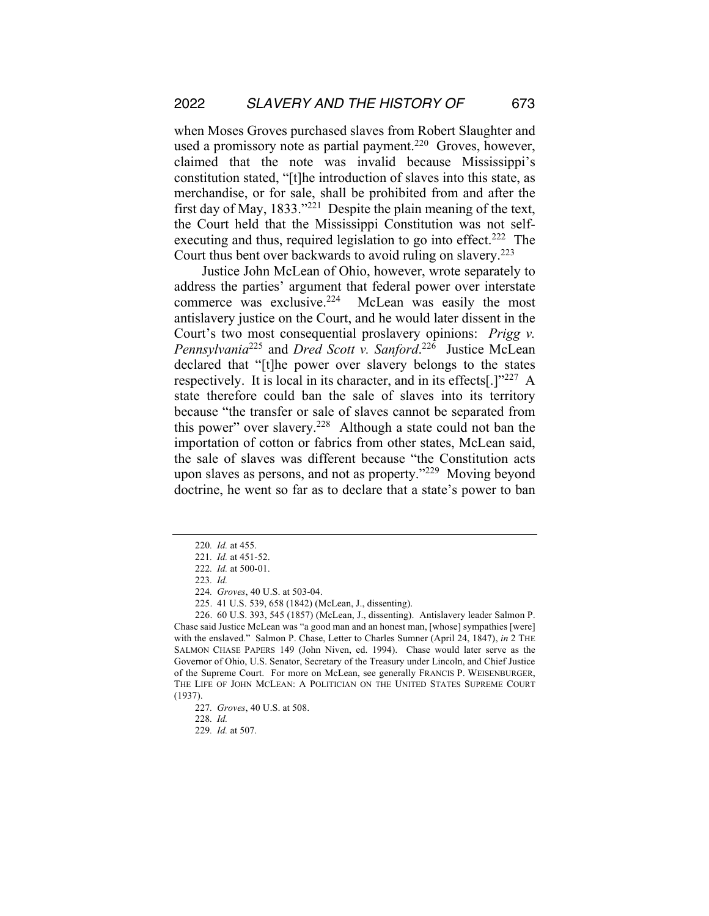when Moses Groves purchased slaves from Robert Slaughter and used a promissory note as partial payment.<sup>220</sup> Groves, however, claimed that the note was invalid because Mississippi's constitution stated, "[t]he introduction of slaves into this state, as merchandise, or for sale, shall be prohibited from and after the first day of May, 1833."221 Despite the plain meaning of the text, the Court held that the Mississippi Constitution was not selfexecuting and thus, required legislation to go into effect.<sup>222</sup> The Court thus bent over backwards to avoid ruling on slavery.<sup>223</sup>

Justice John McLean of Ohio, however, wrote separately to address the parties' argument that federal power over interstate commerce was exclusive.<sup>224</sup> McLean was easily the most antislavery justice on the Court, and he would later dissent in the Court's two most consequential proslavery opinions: *Prigg v. Pennsylvania*<sup>225</sup> and *Dred Scott v. Sanford*. 226 Justice McLean declared that "[t]he power over slavery belongs to the states respectively. It is local in its character, and in its effects[.]"227 A state therefore could ban the sale of slaves into its territory because "the transfer or sale of slaves cannot be separated from this power" over slavery.228 Although a state could not ban the importation of cotton or fabrics from other states, McLean said, the sale of slaves was different because "the Constitution acts upon slaves as persons, and not as property."229 Moving beyond doctrine, he went so far as to declare that a state's power to ban

<sup>220</sup>*. Id.* at 455.

<sup>221</sup>*. Id.* at 451-52.

<sup>222</sup>*. Id.* at 500-01.

<sup>223</sup>*. Id.*

<sup>224</sup>*. Groves*, 40 U.S. at 503-04.

<sup>225.</sup> 41 U.S. 539, 658 (1842) (McLean, J., dissenting).

<sup>226.</sup> 60 U.S. 393, 545 (1857) (McLean, J., dissenting). Antislavery leader Salmon P. Chase said Justice McLean was "a good man and an honest man, [whose] sympathies [were] with the enslaved." Salmon P. Chase, Letter to Charles Sumner (April 24, 1847), *in* 2 THE SALMON CHASE PAPERS 149 (John Niven, ed. 1994). Chase would later serve as the Governor of Ohio, U.S. Senator, Secretary of the Treasury under Lincoln, and Chief Justice of the Supreme Court. For more on McLean, see generally FRANCIS P. WEISENBURGER, THE LIFE OF JOHN MCLEAN: A POLITICIAN ON THE UNITED STATES SUPREME COURT (1937).

<sup>227</sup>*. Groves*, 40 U.S. at 508.

<sup>228</sup>*. Id.*

<sup>229</sup>*. Id.* at 507.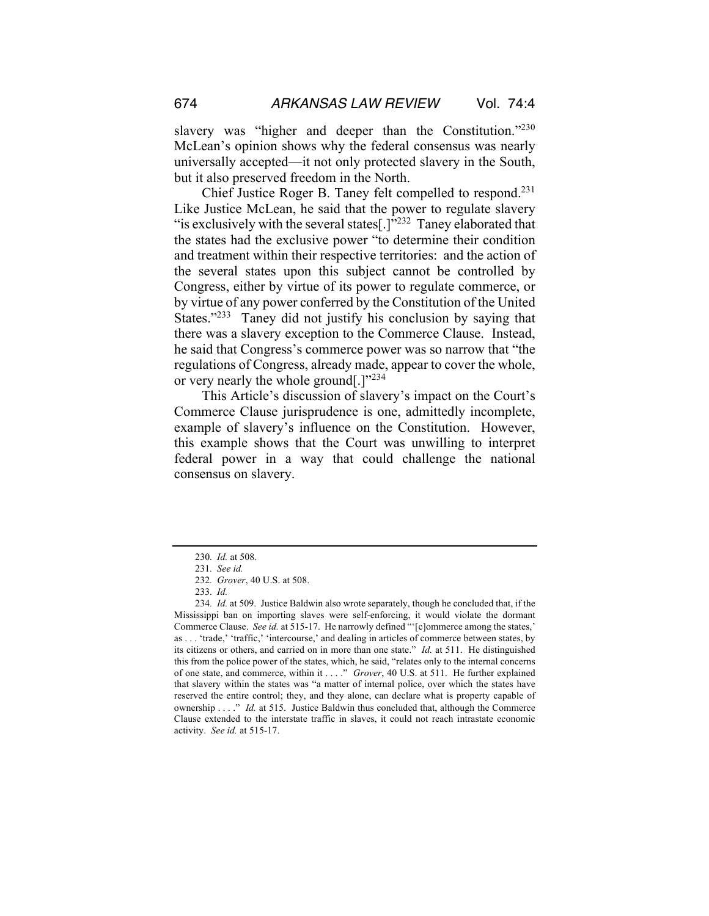slavery was "higher and deeper than the Constitution."<sup>230</sup> McLean's opinion shows why the federal consensus was nearly universally accepted—it not only protected slavery in the South, but it also preserved freedom in the North.

Chief Justice Roger B. Taney felt compelled to respond.231 Like Justice McLean, he said that the power to regulate slavery "is exclusively with the several states  $[.]$ "<sup>232</sup> Taney elaborated that the states had the exclusive power "to determine their condition and treatment within their respective territories: and the action of the several states upon this subject cannot be controlled by Congress, either by virtue of its power to regulate commerce, or by virtue of any power conferred by the Constitution of the United States."<sup>233</sup> Taney did not justify his conclusion by saying that there was a slavery exception to the Commerce Clause. Instead, he said that Congress's commerce power was so narrow that "the regulations of Congress, already made, appear to cover the whole, or very nearly the whole ground[.]"234

This Article's discussion of slavery's impact on the Court's Commerce Clause jurisprudence is one, admittedly incomplete, example of slavery's influence on the Constitution. However, this example shows that the Court was unwilling to interpret federal power in a way that could challenge the national consensus on slavery.

<sup>230</sup>*. Id.* at 508.

<sup>231</sup>*. See id.*

<sup>232</sup>*. Grover*, 40 U.S. at 508.

<sup>233</sup>*. Id.*

<sup>234</sup>*. Id.* at 509. Justice Baldwin also wrote separately, though he concluded that, if the Mississippi ban on importing slaves were self-enforcing, it would violate the dormant Commerce Clause. *See id.* at 515-17. He narrowly defined "'[c]ommerce among the states,' as . . . 'trade,' 'traffic,' 'intercourse,' and dealing in articles of commerce between states, by its citizens or others, and carried on in more than one state." *Id.* at 511. He distinguished this from the police power of the states, which, he said, "relates only to the internal concerns of one state, and commerce, within it . . . ." *Grover*, 40 U.S. at 511. He further explained that slavery within the states was "a matter of internal police, over which the states have reserved the entire control; they, and they alone, can declare what is property capable of ownership . . . ." *Id.* at 515. Justice Baldwin thus concluded that, although the Commerce Clause extended to the interstate traffic in slaves, it could not reach intrastate economic activity. *See id.* at 515-17.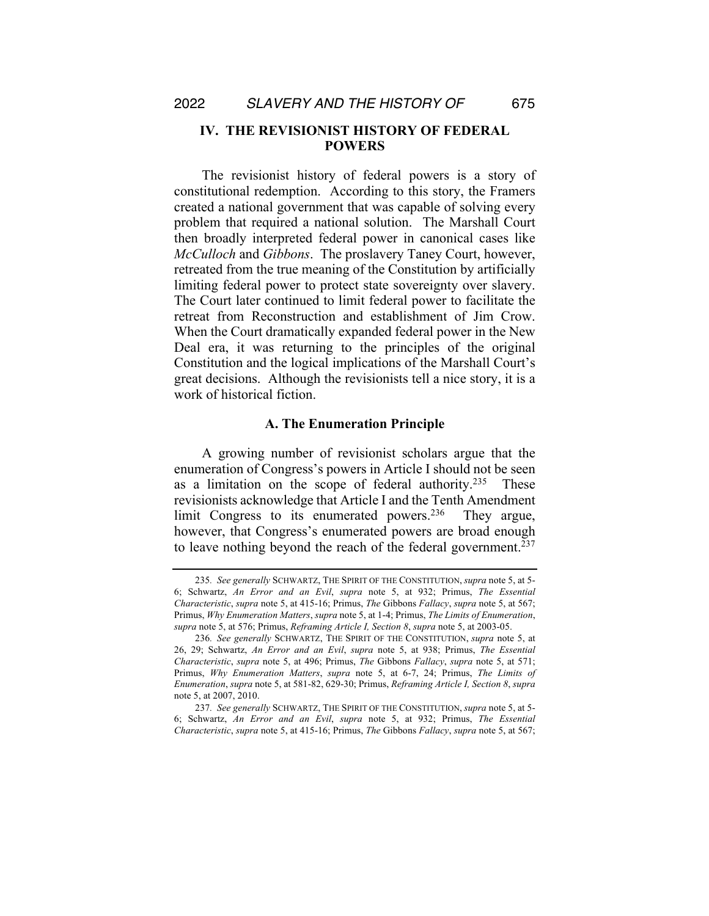### **IV. THE REVISIONIST HISTORY OF FEDERAL POWERS**

The revisionist history of federal powers is a story of constitutional redemption. According to this story, the Framers created a national government that was capable of solving every problem that required a national solution. The Marshall Court then broadly interpreted federal power in canonical cases like *McCulloch* and *Gibbons*. The proslavery Taney Court, however, retreated from the true meaning of the Constitution by artificially limiting federal power to protect state sovereignty over slavery. The Court later continued to limit federal power to facilitate the retreat from Reconstruction and establishment of Jim Crow. When the Court dramatically expanded federal power in the New Deal era, it was returning to the principles of the original Constitution and the logical implications of the Marshall Court's great decisions. Although the revisionists tell a nice story, it is a work of historical fiction.

#### **A. The Enumeration Principle**

A growing number of revisionist scholars argue that the enumeration of Congress's powers in Article I should not be seen as a limitation on the scope of federal authority.<sup>235</sup> These revisionists acknowledge that Article I and the Tenth Amendment limit Congress to its enumerated powers.<sup>236</sup> They argue, however, that Congress's enumerated powers are broad enough to leave nothing beyond the reach of the federal government.<sup>237</sup>

<sup>235</sup>*. See generally* SCHWARTZ, THE SPIRIT OF THE CONSTITUTION, *supra* note 5, at 5- 6; Schwartz, *An Error and an Evil*, *supra* note 5, at 932; Primus, *The Essential Characteristic*, *supra* note 5, at 415-16; Primus, *The* Gibbons *Fallacy*, *supra* note 5, at 567; Primus, *Why Enumeration Matters*, *supra* note 5, at 1-4; Primus, *The Limits of Enumeration*, *supra* note 5, at 576; Primus, *Reframing Article I, Section 8*, *supra* note 5, at 2003-05.

<sup>236</sup>*. See generally* SCHWARTZ, THE SPIRIT OF THE CONSTITUTION, *supra* note 5, at 26, 29; Schwartz, *An Error and an Evil*, *supra* note 5, at 938; Primus, *The Essential Characteristic*, *supra* note 5, at 496; Primus, *The* Gibbons *Fallacy*, *supra* note 5, at 571; Primus, *Why Enumeration Matters*, *supra* note 5, at 6-7, 24; Primus, *The Limits of Enumeration*, *supra* note 5, at 581-82, 629-30; Primus, *Reframing Article I, Section 8*, *supra*  note 5, at 2007, 2010.

<sup>237</sup>*. See generally* SCHWARTZ, THE SPIRIT OF THE CONSTITUTION, *supra* note 5, at 5- 6; Schwartz, *An Error and an Evil*, *supra* note 5, at 932; Primus, *The Essential Characteristic*, *supra* note 5, at 415-16; Primus, *The* Gibbons *Fallacy*, *supra* note 5, at 567;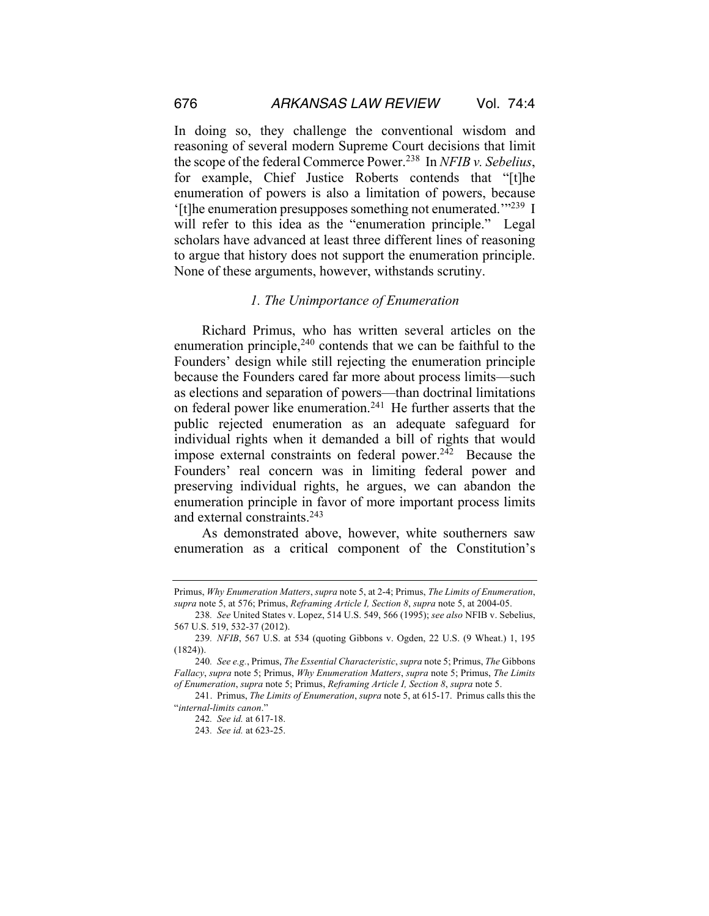In doing so, they challenge the conventional wisdom and reasoning of several modern Supreme Court decisions that limit the scope of the federal Commerce Power.238 In *NFIB v. Sebelius*, for example, Chief Justice Roberts contends that "[t]he enumeration of powers is also a limitation of powers, because '[t]he enumeration presupposes something not enumerated.'"239 I will refer to this idea as the "enumeration principle." Legal scholars have advanced at least three different lines of reasoning to argue that history does not support the enumeration principle. None of these arguments, however, withstands scrutiny.

#### *1. The Unimportance of Enumeration*

Richard Primus, who has written several articles on the enumeration principle, $240$  contends that we can be faithful to the Founders' design while still rejecting the enumeration principle because the Founders cared far more about process limits—such as elections and separation of powers—than doctrinal limitations on federal power like enumeration.241 He further asserts that the public rejected enumeration as an adequate safeguard for individual rights when it demanded a bill of rights that would impose external constraints on federal power. $242$  Because the Founders' real concern was in limiting federal power and preserving individual rights, he argues, we can abandon the enumeration principle in favor of more important process limits and external constraints.243

As demonstrated above, however, white southerners saw enumeration as a critical component of the Constitution's

Primus, *Why Enumeration Matters*, *supra* note 5, at 2-4; Primus, *The Limits of Enumeration*, *supra* note 5, at 576; Primus, *Reframing Article I, Section 8*, *supra* note 5, at 2004-05.

<sup>238</sup>*. See* United States v. Lopez, 514 U.S. 549, 566 (1995); *see also* NFIB v. Sebelius, 567 U.S. 519, 532-37 (2012).

<sup>239</sup>*. NFIB*, 567 U.S. at 534 (quoting Gibbons v. Ogden, 22 U.S. (9 Wheat.) 1, 195  $(1824)$ ).

<sup>240</sup>*. See e.g.*, Primus, *The Essential Characteristic*, *supra* note 5; Primus, *The* Gibbons *Fallacy*, *supra* note 5; Primus, *Why Enumeration Matters*, *supra* note 5; Primus, *The Limits of Enumeration*, *supra* note 5; Primus, *Reframing Article I, Section 8*, *supra* note 5.

<sup>241.</sup> Primus, *The Limits of Enumeration*, *supra* note 5, at 615-17. Primus calls this the "*internal-limits canon*."

<sup>242</sup>*. See id.* at 617-18.

<sup>243</sup>*. See id.* at 623-25.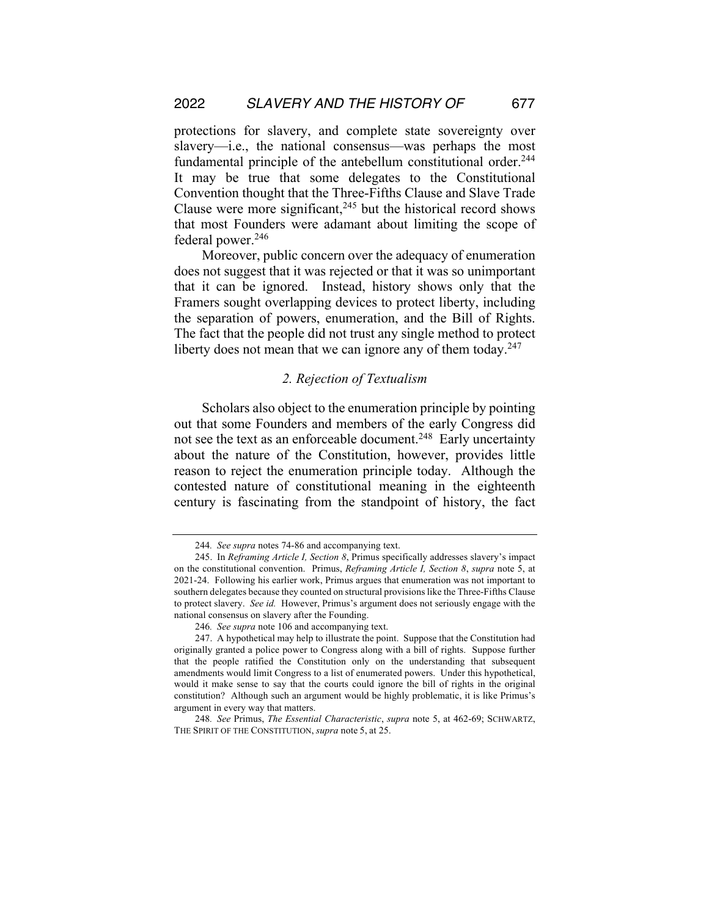protections for slavery, and complete state sovereignty over slavery—i.e., the national consensus—was perhaps the most fundamental principle of the antebellum constitutional order.<sup>244</sup> It may be true that some delegates to the Constitutional Convention thought that the Three-Fifths Clause and Slave Trade Clause were more significant, $245$  but the historical record shows that most Founders were adamant about limiting the scope of federal power.<sup>246</sup>

Moreover, public concern over the adequacy of enumeration does not suggest that it was rejected or that it was so unimportant that it can be ignored. Instead, history shows only that the Framers sought overlapping devices to protect liberty, including the separation of powers, enumeration, and the Bill of Rights. The fact that the people did not trust any single method to protect liberty does not mean that we can ignore any of them today. $247$ 

#### *2. Rejection of Textualism*

Scholars also object to the enumeration principle by pointing out that some Founders and members of the early Congress did not see the text as an enforceable document.<sup>248</sup> Early uncertainty about the nature of the Constitution, however, provides little reason to reject the enumeration principle today. Although the contested nature of constitutional meaning in the eighteenth century is fascinating from the standpoint of history, the fact

<sup>244</sup>*. See supra* notes 74-86 and accompanying text.

<sup>245.</sup> In *Reframing Article I, Section 8*, Primus specifically addresses slavery's impact on the constitutional convention. Primus, *Reframing Article I, Section 8*, *supra* note 5, at 2021-24. Following his earlier work, Primus argues that enumeration was not important to southern delegates because they counted on structural provisions like the Three-Fifths Clause to protect slavery. *See id.* However, Primus's argument does not seriously engage with the national consensus on slavery after the Founding.

<sup>246</sup>*. See supra* note 106 and accompanying text.

<sup>247.</sup> A hypothetical may help to illustrate the point. Suppose that the Constitution had originally granted a police power to Congress along with a bill of rights. Suppose further that the people ratified the Constitution only on the understanding that subsequent amendments would limit Congress to a list of enumerated powers. Under this hypothetical, would it make sense to say that the courts could ignore the bill of rights in the original constitution? Although such an argument would be highly problematic, it is like Primus's argument in every way that matters.

<sup>248</sup>*. See* Primus, *The Essential Characteristic*, *supra* note 5, at 462-69; SCHWARTZ, THE SPIRIT OF THE CONSTITUTION, *supra* note 5, at 25.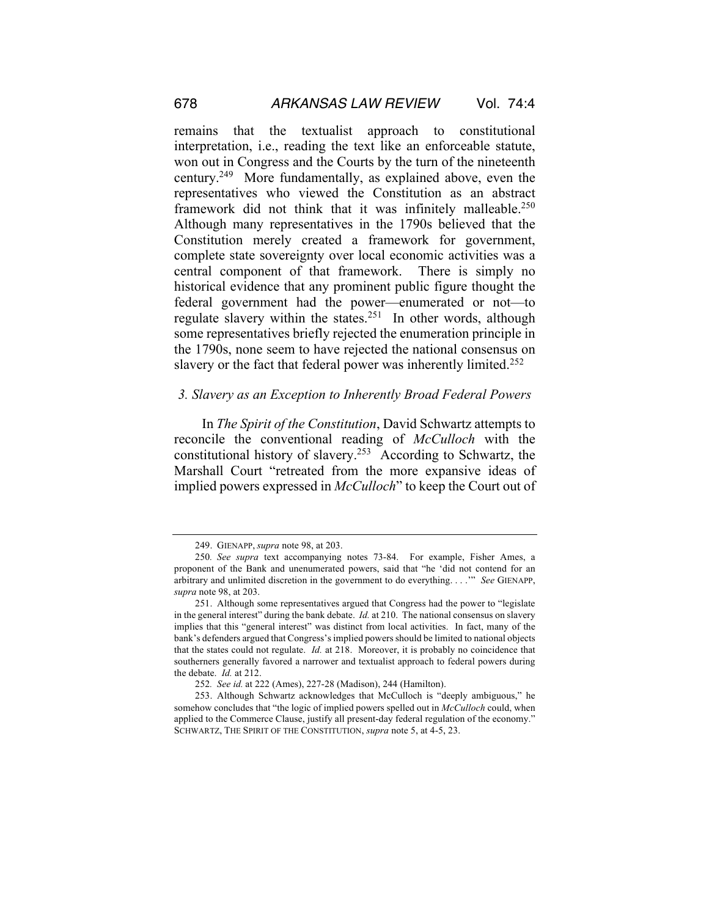remains that the textualist approach to constitutional interpretation, i.e., reading the text like an enforceable statute, won out in Congress and the Courts by the turn of the nineteenth century.249 More fundamentally, as explained above, even the representatives who viewed the Constitution as an abstract framework did not think that it was infinitely malleable.<sup>250</sup> Although many representatives in the 1790s believed that the Constitution merely created a framework for government, complete state sovereignty over local economic activities was a central component of that framework. There is simply no historical evidence that any prominent public figure thought the federal government had the power—enumerated or not—to regulate slavery within the states.<sup>251</sup> In other words, although some representatives briefly rejected the enumeration principle in the 1790s, none seem to have rejected the national consensus on slavery or the fact that federal power was inherently limited.<sup>252</sup>

#### *3. Slavery as an Exception to Inherently Broad Federal Powers*

In *The Spirit of the Constitution*, David Schwartz attempts to reconcile the conventional reading of *McCulloch* with the constitutional history of slavery.253 According to Schwartz, the Marshall Court "retreated from the more expansive ideas of implied powers expressed in *McCulloch*" to keep the Court out of

<sup>249.</sup> GIENAPP, *supra* note 98, at 203.

<sup>250</sup>*. See supra* text accompanying notes 73-84. For example, Fisher Ames, a proponent of the Bank and unenumerated powers, said that "he 'did not contend for an arbitrary and unlimited discretion in the government to do everything. . . .'" *See* GIENAPP, *supra* note 98, at 203.

<sup>251.</sup> Although some representatives argued that Congress had the power to "legislate in the general interest" during the bank debate. *Id.* at 210. The national consensus on slavery implies that this "general interest" was distinct from local activities. In fact, many of the bank's defenders argued that Congress's implied powers should be limited to national objects that the states could not regulate. *Id.* at 218. Moreover, it is probably no coincidence that southerners generally favored a narrower and textualist approach to federal powers during the debate. *Id.* at 212.

<sup>252</sup>*. See id.* at 222 (Ames), 227-28 (Madison), 244 (Hamilton).

<sup>253.</sup> Although Schwartz acknowledges that McCulloch is "deeply ambiguous," he somehow concludes that "the logic of implied powers spelled out in *McCulloch* could, when applied to the Commerce Clause, justify all present-day federal regulation of the economy." SCHWARTZ, THE SPIRIT OF THE CONSTITUTION, *supra* note 5, at 4-5, 23.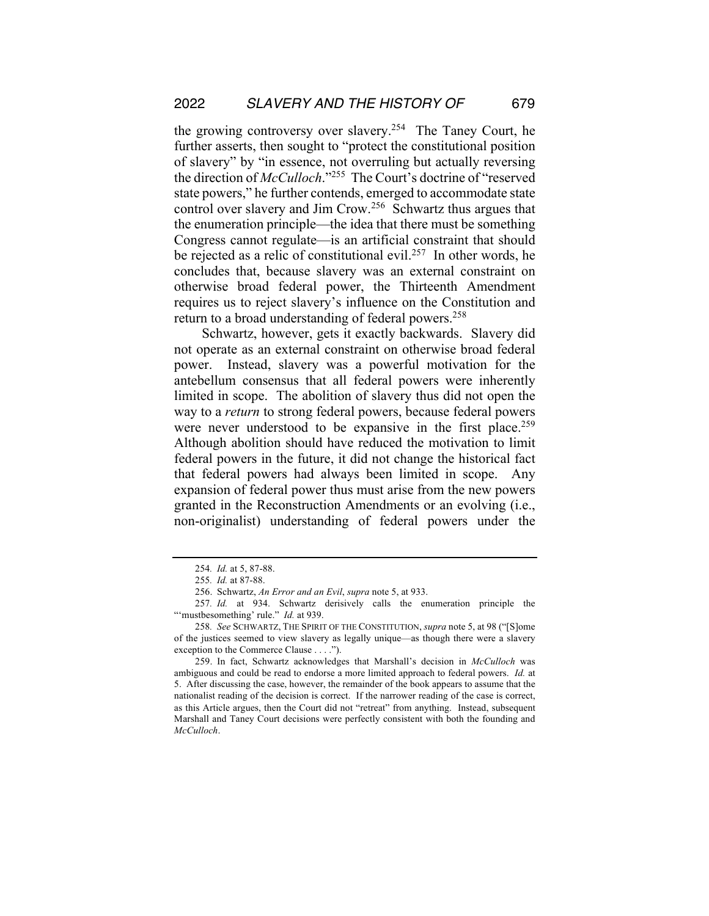the growing controversy over slavery.254 The Taney Court, he further asserts, then sought to "protect the constitutional position of slavery" by "in essence, not overruling but actually reversing the direction of *McCulloch*."255 The Court's doctrine of "reserved state powers," he further contends, emerged to accommodate state control over slavery and Jim Crow. 256 Schwartz thus argues that the enumeration principle—the idea that there must be something Congress cannot regulate—is an artificial constraint that should be rejected as a relic of constitutional evil.<sup>257</sup> In other words, he concludes that, because slavery was an external constraint on otherwise broad federal power, the Thirteenth Amendment requires us to reject slavery's influence on the Constitution and return to a broad understanding of federal powers.<sup>258</sup>

Schwartz, however, gets it exactly backwards. Slavery did not operate as an external constraint on otherwise broad federal power. Instead, slavery was a powerful motivation for the antebellum consensus that all federal powers were inherently limited in scope. The abolition of slavery thus did not open the way to a *return* to strong federal powers, because federal powers were never understood to be expansive in the first place.<sup>259</sup> Although abolition should have reduced the motivation to limit federal powers in the future, it did not change the historical fact that federal powers had always been limited in scope. Any expansion of federal power thus must arise from the new powers granted in the Reconstruction Amendments or an evolving (i.e., non-originalist) understanding of federal powers under the

<sup>254</sup>*. Id.* at 5, 87-88.

<sup>255</sup>*. Id.* at 87-88.

<sup>256.</sup> Schwartz, *An Error and an Evil*, *supra* note 5, at 933.

<sup>257</sup>*. Id.* at 934. Schwartz derisively calls the enumeration principle the "'mustbesomething' rule." *Id.* at 939.

<sup>258</sup>*. See* SCHWARTZ, THE SPIRIT OF THE CONSTITUTION, *supra* note 5, at 98 ("[S]ome of the justices seemed to view slavery as legally unique—as though there were a slavery exception to the Commerce Clause . . . .").

<sup>259.</sup> In fact, Schwartz acknowledges that Marshall's decision in *McCulloch* was ambiguous and could be read to endorse a more limited approach to federal powers. *Id.* at 5. After discussing the case, however, the remainder of the book appears to assume that the nationalist reading of the decision is correct. If the narrower reading of the case is correct, as this Article argues, then the Court did not "retreat" from anything. Instead, subsequent Marshall and Taney Court decisions were perfectly consistent with both the founding and *McCulloch*.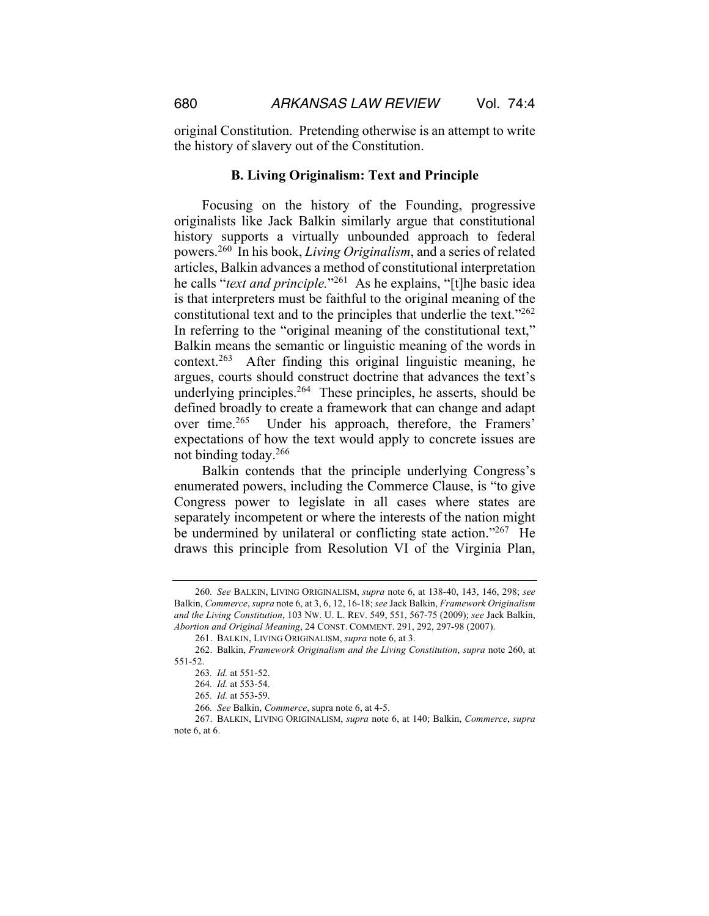original Constitution. Pretending otherwise is an attempt to write the history of slavery out of the Constitution.

#### **B. Living Originalism: Text and Principle**

Focusing on the history of the Founding, progressive originalists like Jack Balkin similarly argue that constitutional history supports a virtually unbounded approach to federal powers.260 In his book, *Living Originalism*, and a series of related articles, Balkin advances a method of constitutional interpretation he calls "*text and principle.*"261 As he explains, "[t]he basic idea is that interpreters must be faithful to the original meaning of the constitutional text and to the principles that underlie the text."262 In referring to the "original meaning of the constitutional text," Balkin means the semantic or linguistic meaning of the words in context.263 After finding this original linguistic meaning, he argues, courts should construct doctrine that advances the text's underlying principles.<sup>264</sup> These principles, he asserts, should be defined broadly to create a framework that can change and adapt over time.265 Under his approach, therefore, the Framers' expectations of how the text would apply to concrete issues are not binding today.266

Balkin contends that the principle underlying Congress's enumerated powers, including the Commerce Clause, is "to give Congress power to legislate in all cases where states are separately incompetent or where the interests of the nation might be undermined by unilateral or conflicting state action."267 He draws this principle from Resolution VI of the Virginia Plan,

<sup>260</sup>*. See* BALKIN, LIVING ORIGINALISM, *supra* note 6, at 138-40, 143, 146, 298; *see* Balkin, *Commerce*, *supra* note 6, at 3, 6, 12, 16-18; *see* Jack Balkin, *Framework Originalism and the Living Constitution*, 103 NW. U. L. REV. 549, 551, 567-75 (2009); *see* Jack Balkin, *Abortion and Original Meaning*, 24 CONST. COMMENT. 291, 292, 297-98 (2007).

<sup>261.</sup> BALKIN, LIVING ORIGINALISM, *supra* note 6, at 3.

<sup>262.</sup> Balkin, *Framework Originalism and the Living Constitution*, *supra* note 260, at 551-52.

<sup>263</sup>*. Id.* at 551-52.

<sup>264</sup>*. Id.* at 553-54.

<sup>265</sup>*. Id.* at 553-59.

<sup>266</sup>*. See* Balkin, *Commerce*, supra note 6, at 4-5.

<sup>267.</sup> BALKIN, LIVING ORIGINALISM, *supra* note 6, at 140; Balkin, *Commerce*, *supra* note 6, at 6.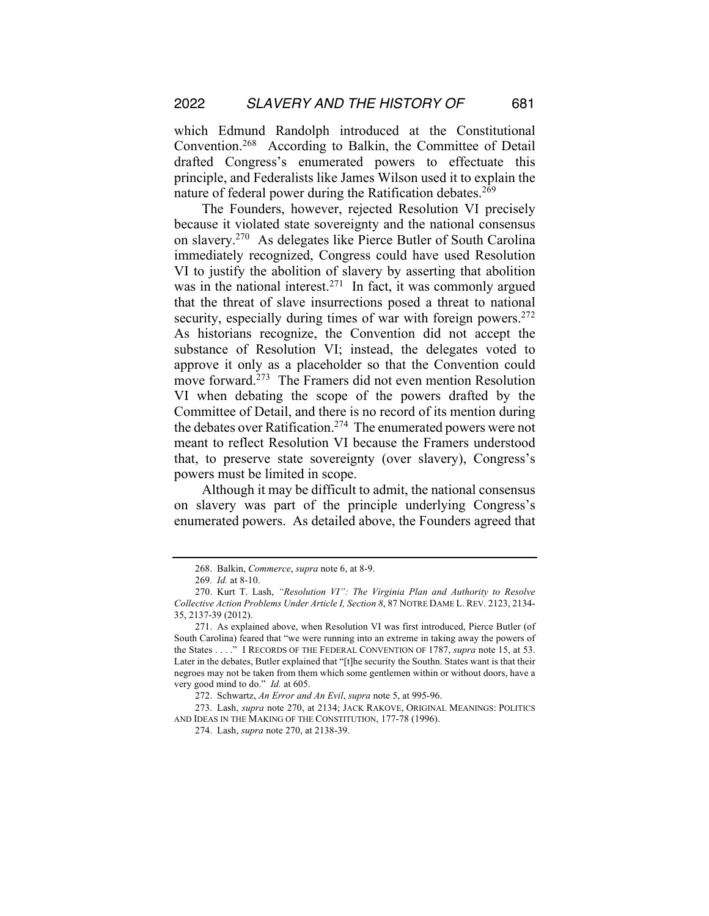which Edmund Randolph introduced at the Constitutional Convention.268 According to Balkin, the Committee of Detail drafted Congress's enumerated powers to effectuate this principle, and Federalists like James Wilson used it to explain the nature of federal power during the Ratification debates.<sup>269</sup>

The Founders, however, rejected Resolution VI precisely because it violated state sovereignty and the national consensus on slavery.270 As delegates like Pierce Butler of South Carolina immediately recognized, Congress could have used Resolution VI to justify the abolition of slavery by asserting that abolition was in the national interest.<sup>271</sup> In fact, it was commonly argued that the threat of slave insurrections posed a threat to national security, especially during times of war with foreign powers.<sup>272</sup> As historians recognize, the Convention did not accept the substance of Resolution VI; instead, the delegates voted to approve it only as a placeholder so that the Convention could move forward.<sup>273</sup> The Framers did not even mention Resolution VI when debating the scope of the powers drafted by the Committee of Detail, and there is no record of its mention during the debates over Ratification.274 The enumerated powers were not meant to reflect Resolution VI because the Framers understood that, to preserve state sovereignty (over slavery), Congress's powers must be limited in scope.

Although it may be difficult to admit, the national consensus on slavery was part of the principle underlying Congress's enumerated powers. As detailed above, the Founders agreed that

<sup>268.</sup> Balkin, *Commerce*, *supra* note 6, at 8-9.

<sup>269</sup>*. Id.* at 8-10.

<sup>270.</sup> Kurt T. Lash, *"Resolution VI": The Virginia Plan and Authority to Resolve Collective Action Problems Under Article I, Section 8*, 87 NOTRE DAME L. REV. 2123, 2134- 35, 2137-39 (2012).

<sup>271.</sup> As explained above, when Resolution VI was first introduced, Pierce Butler (of South Carolina) feared that "we were running into an extreme in taking away the powers of the States . . . ." I RECORDS OF THE FEDERAL CONVENTION OF 1787, *supra* note 15, at 53. Later in the debates, Butler explained that "[t]he security the Southn. States want is that their negroes may not be taken from them which some gentlemen within or without doors, have a very good mind to do." *Id.* at 605.

<sup>272.</sup> Schwartz, *An Error and An Evil*, *supra* note 5, at 995-96.

<sup>273.</sup> Lash, *supra* note 270, at 2134; JACK RAKOVE, ORIGINAL MEANINGS: POLITICS AND IDEAS IN THE MAKING OF THE CONSTITUTION, 177-78 (1996).

<sup>274.</sup> Lash, *supra* note 270, at 2138-39.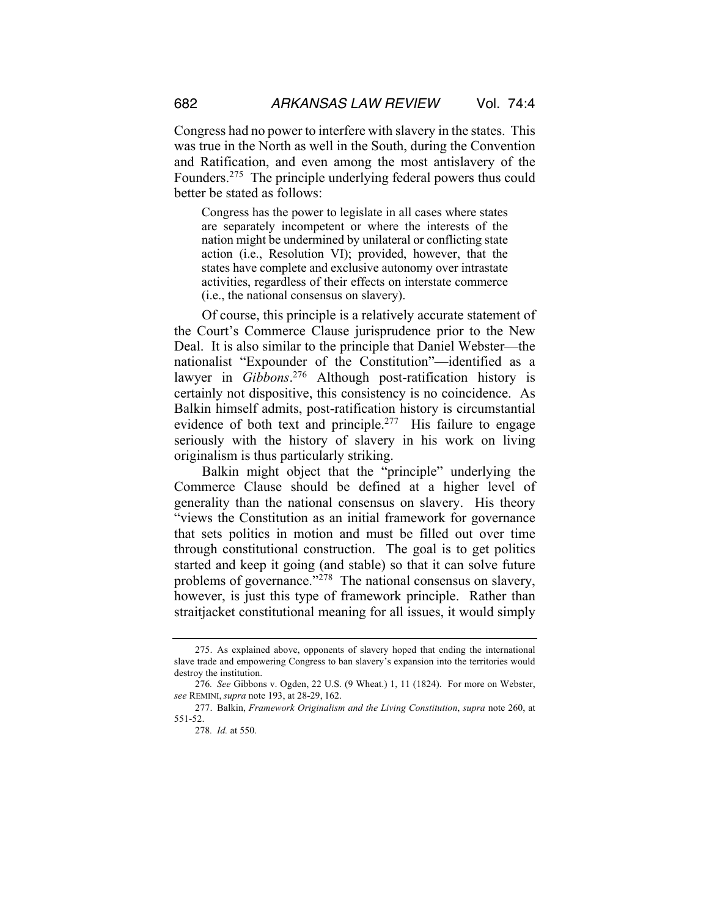Congress had no power to interfere with slavery in the states. This was true in the North as well in the South, during the Convention and Ratification, and even among the most antislavery of the Founders.275 The principle underlying federal powers thus could better be stated as follows:

Congress has the power to legislate in all cases where states are separately incompetent or where the interests of the nation might be undermined by unilateral or conflicting state action (i.e., Resolution VI); provided, however, that the states have complete and exclusive autonomy over intrastate activities, regardless of their effects on interstate commerce (i.e., the national consensus on slavery).

Of course, this principle is a relatively accurate statement of the Court's Commerce Clause jurisprudence prior to the New Deal. It is also similar to the principle that Daniel Webster—the nationalist "Expounder of the Constitution"—identified as a lawyer in *Gibbons*. <sup>276</sup> Although post-ratification history is certainly not dispositive, this consistency is no coincidence. As Balkin himself admits, post-ratification history is circumstantial evidence of both text and principle.<sup>277</sup> His failure to engage seriously with the history of slavery in his work on living originalism is thus particularly striking.

Balkin might object that the "principle" underlying the Commerce Clause should be defined at a higher level of generality than the national consensus on slavery. His theory "views the Constitution as an initial framework for governance that sets politics in motion and must be filled out over time through constitutional construction. The goal is to get politics started and keep it going (and stable) so that it can solve future problems of governance."<sup>278</sup> The national consensus on slavery, however, is just this type of framework principle. Rather than straitjacket constitutional meaning for all issues, it would simply

<sup>275.</sup> As explained above, opponents of slavery hoped that ending the international slave trade and empowering Congress to ban slavery's expansion into the territories would destroy the institution.

<sup>276</sup>*. See* Gibbons v. Ogden, 22 U.S. (9 Wheat.) 1, 11 (1824). For more on Webster, *see* REMINI, *supra* note 193, at 28-29, 162.

<sup>277.</sup> Balkin, *Framework Originalism and the Living Constitution*, *supra* note 260, at 551-52.

<sup>278</sup>*. Id.* at 550.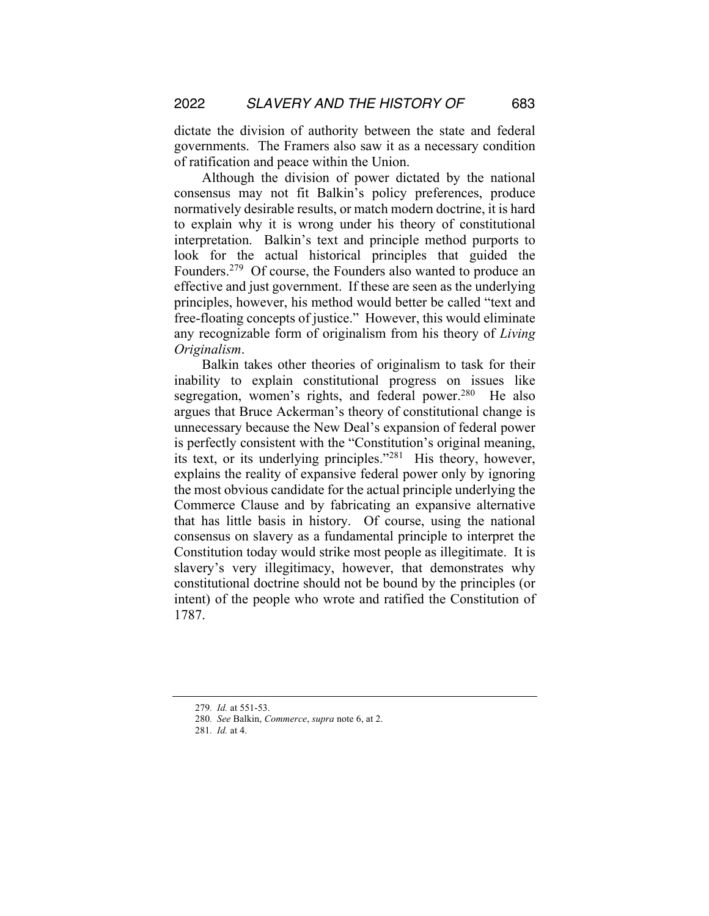dictate the division of authority between the state and federal governments. The Framers also saw it as a necessary condition of ratification and peace within the Union.

Although the division of power dictated by the national consensus may not fit Balkin's policy preferences, produce normatively desirable results, or match modern doctrine, it is hard to explain why it is wrong under his theory of constitutional interpretation. Balkin's text and principle method purports to look for the actual historical principles that guided the Founders.279 Of course, the Founders also wanted to produce an effective and just government. If these are seen as the underlying principles, however, his method would better be called "text and free-floating concepts of justice." However, this would eliminate any recognizable form of originalism from his theory of *Living Originalism*.

Balkin takes other theories of originalism to task for their inability to explain constitutional progress on issues like segregation, women's rights, and federal power.<sup>280</sup> He also argues that Bruce Ackerman's theory of constitutional change is unnecessary because the New Deal's expansion of federal power is perfectly consistent with the "Constitution's original meaning, its text, or its underlying principles."281 His theory, however, explains the reality of expansive federal power only by ignoring the most obvious candidate for the actual principle underlying the Commerce Clause and by fabricating an expansive alternative that has little basis in history. Of course, using the national consensus on slavery as a fundamental principle to interpret the Constitution today would strike most people as illegitimate. It is slavery's very illegitimacy, however, that demonstrates why constitutional doctrine should not be bound by the principles (or intent) of the people who wrote and ratified the Constitution of 1787.

<sup>279</sup>*. Id.* at 551-53.

<sup>280</sup>*. See* Balkin, *Commerce*, *supra* note 6, at 2.

<sup>281</sup>*. Id.* at 4.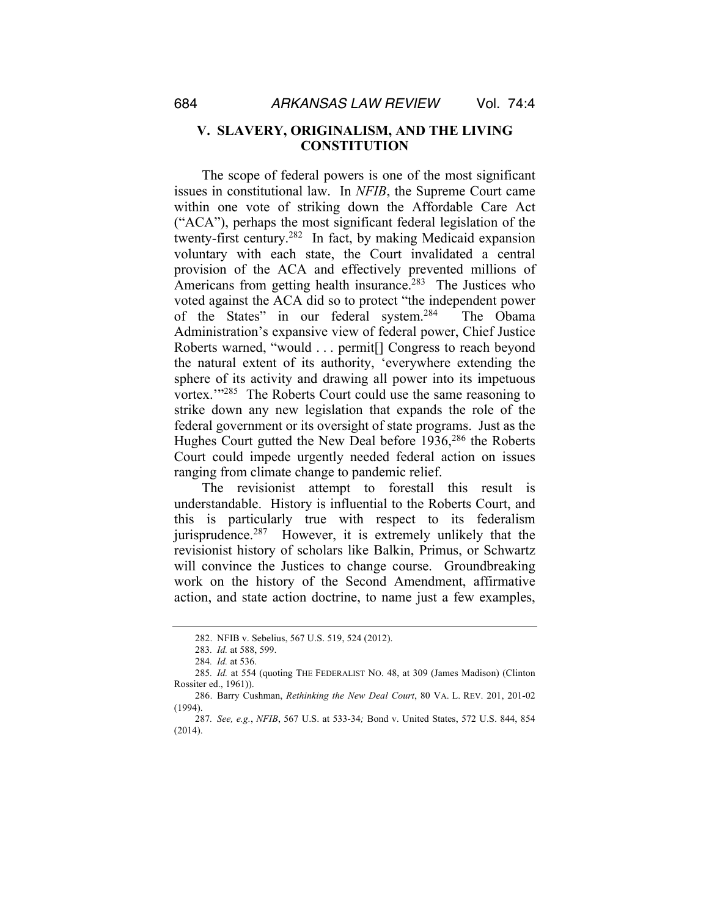#### **V. SLAVERY, ORIGINALISM, AND THE LIVING CONSTITUTION**

The scope of federal powers is one of the most significant issues in constitutional law. In *NFIB*, the Supreme Court came within one vote of striking down the Affordable Care Act ("ACA"), perhaps the most significant federal legislation of the twenty-first century.282 In fact, by making Medicaid expansion voluntary with each state, the Court invalidated a central provision of the ACA and effectively prevented millions of Americans from getting health insurance.<sup>283</sup> The Justices who voted against the ACA did so to protect "the independent power of the States" in our federal system.284 The Obama Administration's expansive view of federal power, Chief Justice Roberts warned, "would . . . permit[] Congress to reach beyond the natural extent of its authority, 'everywhere extending the sphere of its activity and drawing all power into its impetuous vortex.'"285 The Roberts Court could use the same reasoning to strike down any new legislation that expands the role of the federal government or its oversight of state programs. Just as the Hughes Court gutted the New Deal before 1936,286 the Roberts Court could impede urgently needed federal action on issues ranging from climate change to pandemic relief.

The revisionist attempt to forestall this result is understandable. History is influential to the Roberts Court, and this is particularly true with respect to its federalism jurisprudence.287 However, it is extremely unlikely that the revisionist history of scholars like Balkin, Primus, or Schwartz will convince the Justices to change course. Groundbreaking work on the history of the Second Amendment, affirmative action, and state action doctrine, to name just a few examples,

<sup>282.</sup> NFIB v. Sebelius, 567 U.S. 519, 524 (2012).

<sup>283</sup>*. Id.* at 588, 599.

<sup>284</sup>*. Id.* at 536.

<sup>285</sup>*. Id.* at 554 (quoting THE FEDERALIST NO. 48, at 309 (James Madison) (Clinton Rossiter ed., 1961)).

<sup>286.</sup> Barry Cushman, *Rethinking the New Deal Court*, 80 VA. L. REV. 201, 201-02 (1994).

<sup>287</sup>*. See, e.g.*, *NFIB*, 567 U.S. at 533-34*;* Bond v. United States, 572 U.S. 844, 854 (2014).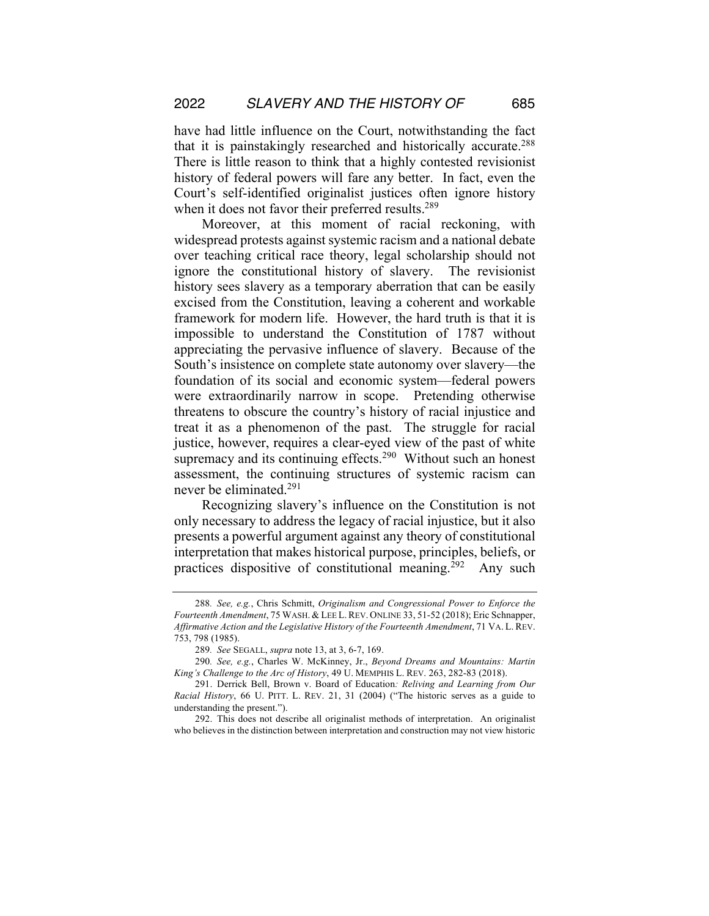have had little influence on the Court, notwithstanding the fact that it is painstakingly researched and historically accurate.288 There is little reason to think that a highly contested revisionist history of federal powers will fare any better. In fact, even the Court's self-identified originalist justices often ignore history when it does not favor their preferred results.<sup>289</sup>

Moreover, at this moment of racial reckoning, with widespread protests against systemic racism and a national debate over teaching critical race theory, legal scholarship should not ignore the constitutional history of slavery. The revisionist history sees slavery as a temporary aberration that can be easily excised from the Constitution, leaving a coherent and workable framework for modern life. However, the hard truth is that it is impossible to understand the Constitution of 1787 without appreciating the pervasive influence of slavery. Because of the South's insistence on complete state autonomy over slavery—the foundation of its social and economic system—federal powers were extraordinarily narrow in scope. Pretending otherwise threatens to obscure the country's history of racial injustice and treat it as a phenomenon of the past. The struggle for racial justice, however, requires a clear-eyed view of the past of white supremacy and its continuing effects.<sup>290</sup> Without such an honest assessment, the continuing structures of systemic racism can never be eliminated.291

Recognizing slavery's influence on the Constitution is not only necessary to address the legacy of racial injustice, but it also presents a powerful argument against any theory of constitutional interpretation that makes historical purpose, principles, beliefs, or practices dispositive of constitutional meaning.<sup>292</sup> Any such

292. This does not describe all originalist methods of interpretation. An originalist who believes in the distinction between interpretation and construction may not view historic

<sup>288</sup>*. See, e.g.*, Chris Schmitt, *Originalism and Congressional Power to Enforce the Fourteenth Amendment*, 75 WASH. & LEE L.REV. ONLINE 33, 51-52 (2018); Eric Schnapper, *Affirmative Action and the Legislative History of the Fourteenth Amendment*, 71 VA. L. REV. 753, 798 (1985).

<sup>289</sup>*. See* SEGALL, *supra* note 13, at 3, 6-7, 169.

<sup>290</sup>*. See, e.g.*, Charles W. McKinney, Jr., *Beyond Dreams and Mountains: Martin King's Challenge to the Arc of History*, 49 U. MEMPHIS L. REV. 263, 282-83 (2018).

<sup>291.</sup> Derrick Bell, Brown v. Board of Education*: Reliving and Learning from Our Racial History*, 66 U. PITT. L. REV. 21, 31 (2004) ("The historic serves as a guide to understanding the present.").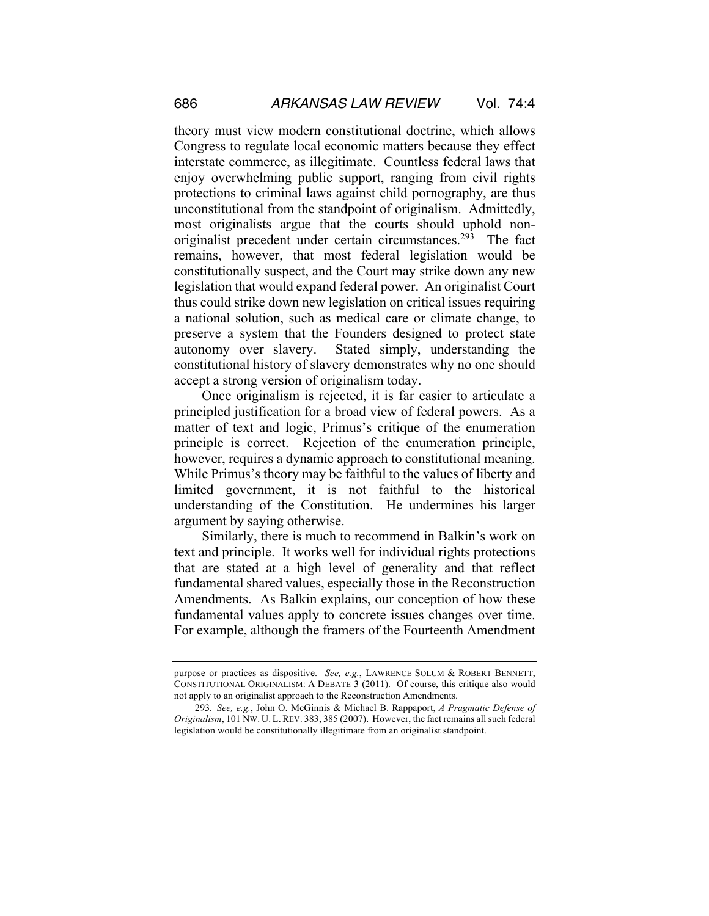theory must view modern constitutional doctrine, which allows Congress to regulate local economic matters because they effect interstate commerce, as illegitimate. Countless federal laws that enjoy overwhelming public support, ranging from civil rights protections to criminal laws against child pornography, are thus unconstitutional from the standpoint of originalism. Admittedly, most originalists argue that the courts should uphold nonoriginalist precedent under certain circumstances.<sup>293</sup> The fact remains, however, that most federal legislation would be constitutionally suspect, and the Court may strike down any new legislation that would expand federal power. An originalist Court thus could strike down new legislation on critical issues requiring a national solution, such as medical care or climate change, to preserve a system that the Founders designed to protect state autonomy over slavery. Stated simply, understanding the constitutional history of slavery demonstrates why no one should accept a strong version of originalism today.

Once originalism is rejected, it is far easier to articulate a principled justification for a broad view of federal powers. As a matter of text and logic, Primus's critique of the enumeration principle is correct. Rejection of the enumeration principle, however, requires a dynamic approach to constitutional meaning. While Primus's theory may be faithful to the values of liberty and limited government, it is not faithful to the historical understanding of the Constitution. He undermines his larger argument by saying otherwise.

Similarly, there is much to recommend in Balkin's work on text and principle. It works well for individual rights protections that are stated at a high level of generality and that reflect fundamental shared values, especially those in the Reconstruction Amendments. As Balkin explains, our conception of how these fundamental values apply to concrete issues changes over time. For example, although the framers of the Fourteenth Amendment

purpose or practices as dispositive. *See, e.g.*, LAWRENCE SOLUM & ROBERT BENNETT, CONSTITUTIONAL ORIGINALISM: A DEBATE 3 (2011). Of course, this critique also would not apply to an originalist approach to the Reconstruction Amendments.

<sup>293</sup>*. See, e.g.*, John O. McGinnis & Michael B. Rappaport, *A Pragmatic Defense of Originalism*, 101 NW. U. L.REV. 383, 385 (2007). However, the fact remains all such federal legislation would be constitutionally illegitimate from an originalist standpoint.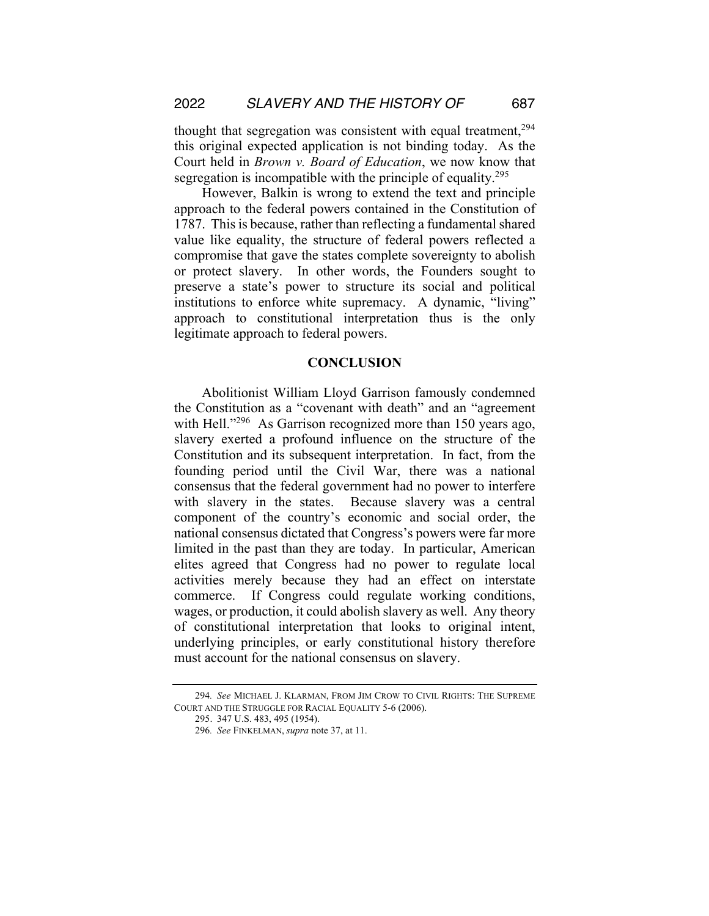thought that segregation was consistent with equal treatment,<sup>294</sup> this original expected application is not binding today. As the Court held in *Brown v. Board of Education*, we now know that segregation is incompatible with the principle of equality.<sup>295</sup>

However, Balkin is wrong to extend the text and principle approach to the federal powers contained in the Constitution of 1787. This is because, rather than reflecting a fundamental shared value like equality, the structure of federal powers reflected a compromise that gave the states complete sovereignty to abolish or protect slavery. In other words, the Founders sought to preserve a state's power to structure its social and political institutions to enforce white supremacy. A dynamic, "living" approach to constitutional interpretation thus is the only legitimate approach to federal powers.

#### **CONCLUSION**

Abolitionist William Lloyd Garrison famously condemned the Constitution as a "covenant with death" and an "agreement with Hell."<sup>296</sup> As Garrison recognized more than 150 years ago, slavery exerted a profound influence on the structure of the Constitution and its subsequent interpretation. In fact, from the founding period until the Civil War, there was a national consensus that the federal government had no power to interfere with slavery in the states. Because slavery was a central component of the country's economic and social order, the national consensus dictated that Congress's powers were far more limited in the past than they are today. In particular, American elites agreed that Congress had no power to regulate local activities merely because they had an effect on interstate commerce. If Congress could regulate working conditions, wages, or production, it could abolish slavery as well. Any theory of constitutional interpretation that looks to original intent, underlying principles, or early constitutional history therefore must account for the national consensus on slavery.

<sup>294</sup>*. See* MICHAEL J. KLARMAN, FROM JIM CROW TO CIVIL RIGHTS: THE SUPREME COURT AND THE STRUGGLE FOR RACIAL EQUALITY 5-6 (2006).

<sup>295.</sup> 347 U.S. 483, 495 (1954).

<sup>296</sup>*. See* FINKELMAN, *supra* note 37, at 11.